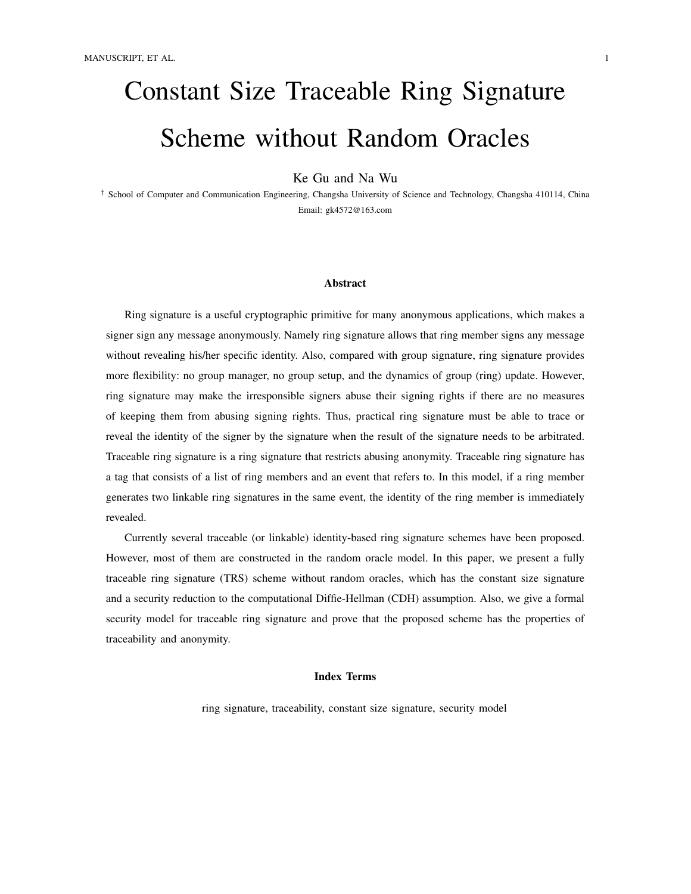# Constant Size Traceable Ring Signature Scheme without Random Oracles

Ke Gu and Na Wu

† School of Computer and Communication Engineering, Changsha University of Science and Technology, Changsha 410114, China Email: gk4572@163.com

#### Abstract

Ring signature is a useful cryptographic primitive for many anonymous applications, which makes a signer sign any message anonymously. Namely ring signature allows that ring member signs any message without revealing his/her specific identity. Also, compared with group signature, ring signature provides more flexibility: no group manager, no group setup, and the dynamics of group (ring) update. However, ring signature may make the irresponsible signers abuse their signing rights if there are no measures of keeping them from abusing signing rights. Thus, practical ring signature must be able to trace or reveal the identity of the signer by the signature when the result of the signature needs to be arbitrated. Traceable ring signature is a ring signature that restricts abusing anonymity. Traceable ring signature has a tag that consists of a list of ring members and an event that refers to. In this model, if a ring member generates two linkable ring signatures in the same event, the identity of the ring member is immediately revealed.

Currently several traceable (or linkable) identity-based ring signature schemes have been proposed. However, most of them are constructed in the random oracle model. In this paper, we present a fully traceable ring signature (TRS) scheme without random oracles, which has the constant size signature and a security reduction to the computational Diffie-Hellman (CDH) assumption. Also, we give a formal security model for traceable ring signature and prove that the proposed scheme has the properties of traceability and anonymity.

## Index Terms

ring signature, traceability, constant size signature, security model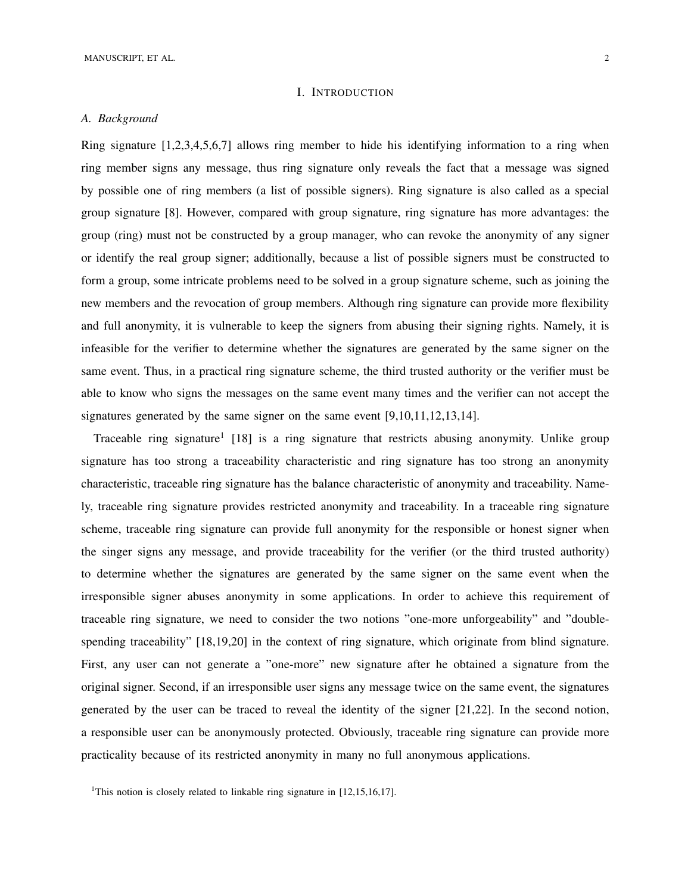## I. INTRODUCTION

## *A. Background*

Ring signature [1,2,3,4,5,6,7] allows ring member to hide his identifying information to a ring when ring member signs any message, thus ring signature only reveals the fact that a message was signed by possible one of ring members (a list of possible signers). Ring signature is also called as a special group signature [8]. However, compared with group signature, ring signature has more advantages: the group (ring) must not be constructed by a group manager, who can revoke the anonymity of any signer or identify the real group signer; additionally, because a list of possible signers must be constructed to form a group, some intricate problems need to be solved in a group signature scheme, such as joining the new members and the revocation of group members. Although ring signature can provide more flexibility and full anonymity, it is vulnerable to keep the signers from abusing their signing rights. Namely, it is infeasible for the verifier to determine whether the signatures are generated by the same signer on the same event. Thus, in a practical ring signature scheme, the third trusted authority or the verifier must be able to know who signs the messages on the same event many times and the verifier can not accept the signatures generated by the same signer on the same event [9,10,11,12,13,14].

Traceable ring signature<sup>1</sup> [18] is a ring signature that restricts abusing anonymity. Unlike group signature has too strong a traceability characteristic and ring signature has too strong an anonymity characteristic, traceable ring signature has the balance characteristic of anonymity and traceability. Namely, traceable ring signature provides restricted anonymity and traceability. In a traceable ring signature scheme, traceable ring signature can provide full anonymity for the responsible or honest signer when the singer signs any message, and provide traceability for the verifier (or the third trusted authority) to determine whether the signatures are generated by the same signer on the same event when the irresponsible signer abuses anonymity in some applications. In order to achieve this requirement of traceable ring signature, we need to consider the two notions "one-more unforgeability" and "doublespending traceability" [18,19,20] in the context of ring signature, which originate from blind signature. First, any user can not generate a "one-more" new signature after he obtained a signature from the original signer. Second, if an irresponsible user signs any message twice on the same event, the signatures generated by the user can be traced to reveal the identity of the signer [21,22]. In the second notion, a responsible user can be anonymously protected. Obviously, traceable ring signature can provide more practicality because of its restricted anonymity in many no full anonymous applications.

<sup>&</sup>lt;sup>1</sup>This notion is closely related to linkable ring signature in [12,15,16,17].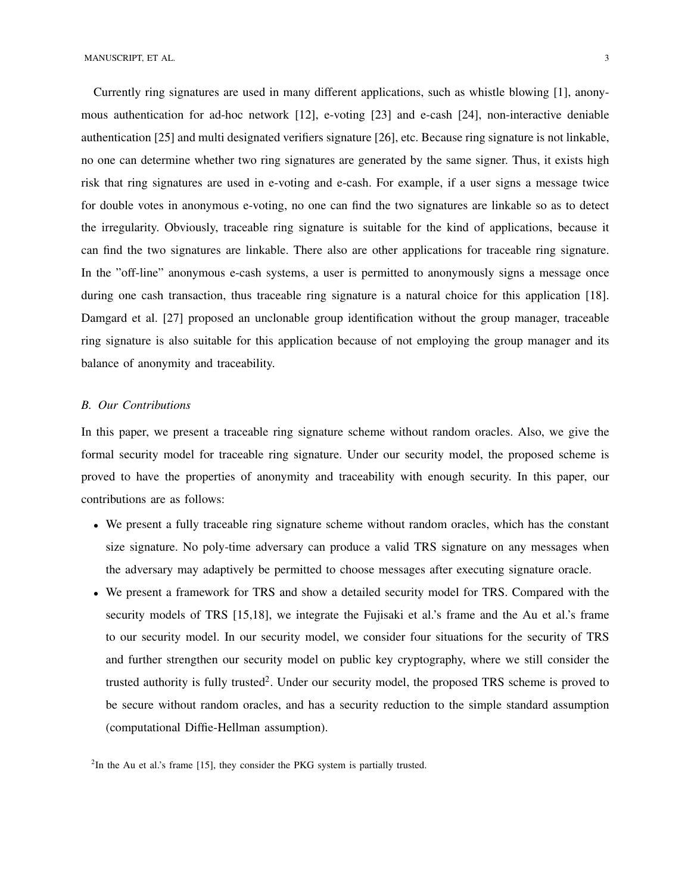Currently ring signatures are used in many different applications, such as whistle blowing [1], anonymous authentication for ad-hoc network [12], e-voting [23] and e-cash [24], non-interactive deniable authentication [25] and multi designated verifiers signature [26], etc. Because ring signature is not linkable, no one can determine whether two ring signatures are generated by the same signer. Thus, it exists high risk that ring signatures are used in e-voting and e-cash. For example, if a user signs a message twice for double votes in anonymous e-voting, no one can find the two signatures are linkable so as to detect the irregularity. Obviously, traceable ring signature is suitable for the kind of applications, because it can find the two signatures are linkable. There also are other applications for traceable ring signature. In the "off-line" anonymous e-cash systems, a user is permitted to anonymously signs a message once during one cash transaction, thus traceable ring signature is a natural choice for this application [18]. Damgard et al. [27] proposed an unclonable group identification without the group manager, traceable ring signature is also suitable for this application because of not employing the group manager and its balance of anonymity and traceability.

## *B. Our Contributions*

In this paper, we present a traceable ring signature scheme without random oracles. Also, we give the formal security model for traceable ring signature. Under our security model, the proposed scheme is proved to have the properties of anonymity and traceability with enough security. In this paper, our contributions are as follows:

- We present a fully traceable ring signature scheme without random oracles, which has the constant size signature. No poly-time adversary can produce a valid TRS signature on any messages when the adversary may adaptively be permitted to choose messages after executing signature oracle.
- We present a framework for TRS and show a detailed security model for TRS. Compared with the security models of TRS [15,18], we integrate the Fujisaki et al.'s frame and the Au et al.'s frame to our security model. In our security model, we consider four situations for the security of TRS and further strengthen our security model on public key cryptography, where we still consider the trusted authority is fully trusted<sup>2</sup>. Under our security model, the proposed TRS scheme is proved to be secure without random oracles, and has a security reduction to the simple standard assumption (computational Diffie-Hellman assumption).

 $2$ In the Au et al.'s frame [15], they consider the PKG system is partially trusted.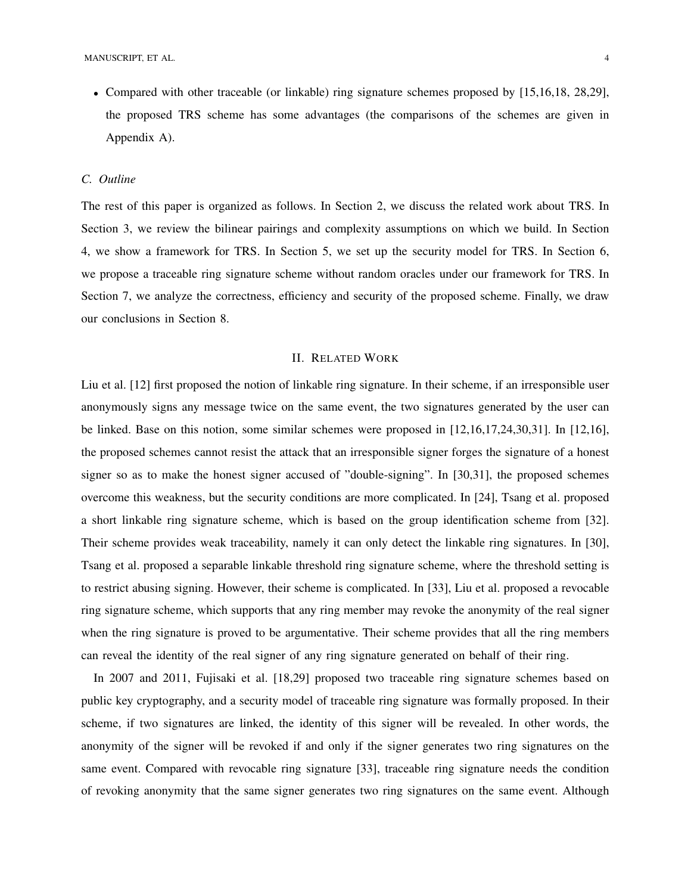• Compared with other traceable (or linkable) ring signature schemes proposed by [15,16,18, 28,29], the proposed TRS scheme has some advantages (the comparisons of the schemes are given in Appendix A).

# *C. Outline*

The rest of this paper is organized as follows. In Section 2, we discuss the related work about TRS. In Section 3, we review the bilinear pairings and complexity assumptions on which we build. In Section 4, we show a framework for TRS. In Section 5, we set up the security model for TRS. In Section 6, we propose a traceable ring signature scheme without random oracles under our framework for TRS. In Section 7, we analyze the correctness, efficiency and security of the proposed scheme. Finally, we draw our conclusions in Section 8.

## II. RELATED WORK

Liu et al. [12] first proposed the notion of linkable ring signature. In their scheme, if an irresponsible user anonymously signs any message twice on the same event, the two signatures generated by the user can be linked. Base on this notion, some similar schemes were proposed in [12,16,17,24,30,31]. In [12,16], the proposed schemes cannot resist the attack that an irresponsible signer forges the signature of a honest signer so as to make the honest signer accused of "double-signing". In [30,31], the proposed schemes overcome this weakness, but the security conditions are more complicated. In [24], Tsang et al. proposed a short linkable ring signature scheme, which is based on the group identification scheme from [32]. Their scheme provides weak traceability, namely it can only detect the linkable ring signatures. In [30], Tsang et al. proposed a separable linkable threshold ring signature scheme, where the threshold setting is to restrict abusing signing. However, their scheme is complicated. In [33], Liu et al. proposed a revocable ring signature scheme, which supports that any ring member may revoke the anonymity of the real signer when the ring signature is proved to be argumentative. Their scheme provides that all the ring members can reveal the identity of the real signer of any ring signature generated on behalf of their ring.

In 2007 and 2011, Fujisaki et al. [18,29] proposed two traceable ring signature schemes based on public key cryptography, and a security model of traceable ring signature was formally proposed. In their scheme, if two signatures are linked, the identity of this signer will be revealed. In other words, the anonymity of the signer will be revoked if and only if the signer generates two ring signatures on the same event. Compared with revocable ring signature [33], traceable ring signature needs the condition of revoking anonymity that the same signer generates two ring signatures on the same event. Although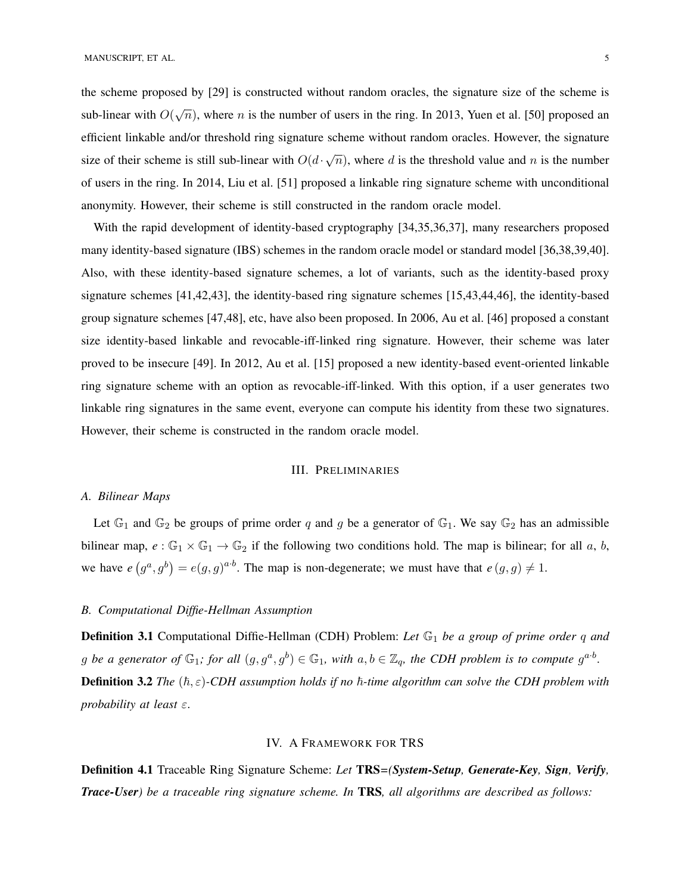the scheme proposed by [29] is constructed without random oracles, the signature size of the scheme is sub-linear with  $O(\sqrt{n})$ , where n is the number of users in the ring. In 2013, Yuen et al. [50] proposed an efficient linkable and/or threshold ring signature scheme without random oracles. However, the signature size of their scheme is still sub-linear with  $O(d \cdot \sqrt{n})$  $\overline{n}$ ), where d is the threshold value and n is the number of users in the ring. In 2014, Liu et al. [51] proposed a linkable ring signature scheme with unconditional anonymity. However, their scheme is still constructed in the random oracle model.

With the rapid development of identity-based cryptography [34,35,36,37], many researchers proposed many identity-based signature (IBS) schemes in the random oracle model or standard model [36,38,39,40]. Also, with these identity-based signature schemes, a lot of variants, such as the identity-based proxy signature schemes [41,42,43], the identity-based ring signature schemes [15,43,44,46], the identity-based group signature schemes [47,48], etc, have also been proposed. In 2006, Au et al. [46] proposed a constant size identity-based linkable and revocable-iff-linked ring signature. However, their scheme was later proved to be insecure [49]. In 2012, Au et al. [15] proposed a new identity-based event-oriented linkable ring signature scheme with an option as revocable-iff-linked. With this option, if a user generates two linkable ring signatures in the same event, everyone can compute his identity from these two signatures. However, their scheme is constructed in the random oracle model.

### III. PRELIMINARIES

## *A. Bilinear Maps*

Let  $\mathbb{G}_1$  and  $\mathbb{G}_2$  be groups of prime order q and g be a generator of  $\mathbb{G}_1$ . We say  $\mathbb{G}_2$  has an admissible bilinear map,  $e : \mathbb{G}_1 \times \mathbb{G}_1 \to \mathbb{G}_2$  if the following two conditions hold. The map is bilinear; for all a, b, we have  $e(g^a, g^b) = e(g, g)^{a \cdot b}$ . The map is non-degenerate; we must have that  $e(g, g) \neq 1$ .

## *B. Computational Diffie-Hellman Assumption*

**Definition 3.1** Computational Diffie-Hellman (CDH) Problem: Let  $\mathbb{G}_1$  be a group of prime order q and g be a generator of  $\mathbb{G}_1$ ; for all  $(g, g^a, g^b) \in \mathbb{G}_1$ , with  $a, b \in \mathbb{Z}_q$ , the CDH problem is to compute  $g^{a \cdot b}$ . **Definition 3.2** *The*  $(\hbar, \varepsilon)$ -CDH assumption holds if no  $\hbar$ -time algorithm can solve the CDH problem with *probability at least* ε.

## IV. A FRAMEWORK FOR TRS

Definition 4.1 Traceable Ring Signature Scheme: *Let* TRS*=(System-Setup, Generate-Key, Sign, Verify, Trace-User) be a traceable ring signature scheme. In* TRS*, all algorithms are described as follows:*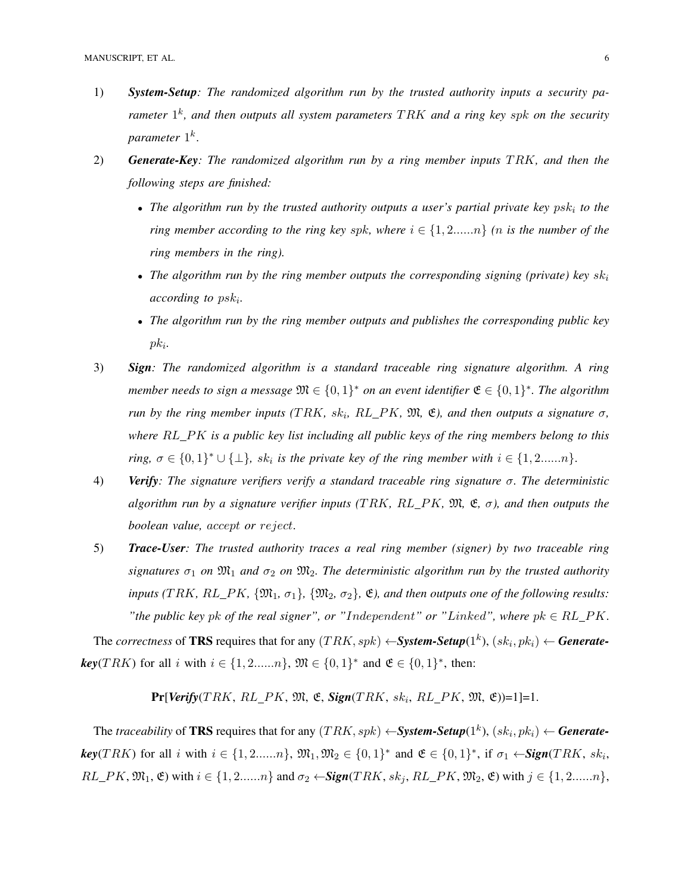- 1) *System-Setup: The randomized algorithm run by the trusted authority inputs a security parameter*  $1^k$ , and then outputs all system parameters  $TRK$  and a ring key spk on the security *parameter* 1 k .
- 2) **Generate-Key**: The randomized algorithm run by a ring member inputs TRK, and then the *following steps are finished:*
	- The algorithm run by the trusted authority outputs a user's partial private key psk<sub>i</sub> to the *ring member according to the ring key spk, where*  $i \in \{1, 2, ..., n\}$  *(n is the number of the ring members in the ring).*
	- The algorithm run by the ring member outputs the corresponding signing (private) key  $sk_i$ *according to* psk<sup>i</sup> *.*
	- *The algorithm run by the ring member outputs and publishes the corresponding public key* pk<sup>i</sup> *.*
- 3) *Sign: The randomized algorithm is a standard traceable ring signature algorithm. A ring member needs to sign a message*  $\mathfrak{M} \in \{0,1\}^*$  *on an event identifier*  $\mathfrak{E} \in \{0,1\}^*$ *. The algorithm run by the ring member inputs* (TRK,  $sk_i$ ,  $RL\_PK$ ,  $\mathfrak{M}, \mathfrak{E}$ ), and then outputs a signature  $\sigma$ , *where* RL PK *is a public key list including all public keys of the ring members belong to this ring,*  $\sigma \in \{0,1\}^* \cup \{\perp\}$ , sk<sub>i</sub> is the private key of the ring member with  $i \in \{1,2,...,n\}$ .
- 4) *Verify: The signature verifiers verify a standard traceable ring signature* σ*. The deterministic algorithm run by a signature verifier inputs (TRK, RL\_PK,*  $\mathfrak{M}, \mathfrak{E}, \sigma$ *), and then outputs the boolean value,* accept *or* reject.
- 5) *Trace-User: The trusted authority traces a real ring member (signer) by two traceable ring signatures*  $\sigma_1$  *on*  $\mathfrak{M}_1$  *and*  $\sigma_2$  *on*  $\mathfrak{M}_2$ *. The deterministic algorithm run by the trusted authority inputs (TRK, RL\_PK, {* $\mathfrak{M}_1$ *,*  $\sigma_1$ *}, {* $\mathfrak{M}_2$ *,*  $\sigma_2$ *},*  $\mathfrak{E}$ *<i>), and then outputs one of the following results: "the public key pk of the real signer", or "Independent" or "Linked", where*  $pk \in RL\_PK$ *.*

The *correctness* of **TRS** requires that for any  $(TRK, sph) \leftarrow$ **System-Setup** $(1^k)$ ,  $(sk_i, pk_i) \leftarrow$  **Generate***key*(*TRK*) for all *i* with  $i \in \{1, 2, ..., n\}$ ,  $\mathfrak{M} \in \{0, 1\}^*$  and  $\mathfrak{E} \in \{0, 1\}^*$ , then:

 $Pr[Verify(TRK, RL\_PK, \mathfrak{M}, \mathfrak{E}, Sign(TRK, sk_i, RL\_PK, \mathfrak{M}, \mathfrak{E})]=1] = 1.$ 

The *traceability* of **TRS** requires that for any  $(TRK, sph) \leftarrow System-Setup(1^k)$ ,  $(sk_i, pk_i) \leftarrow Generate$ *key*(*TRK*) for all *i* with  $i \in \{1, 2, ..., n\}$ ,  $\mathfrak{M}_1, \mathfrak{M}_2 \in \{0, 1\}^*$  and  $\mathfrak{E} \in \{0, 1\}^*$ , if  $\sigma_1 \leftarrow$ **Sign**(*TRK*,  $sk_i$ ,  $RL\_PK$ ,  $\mathfrak{M}_1$ ,  $\mathfrak{E}$ ) with  $i \in \{1, 2, ..., n\}$  and  $\sigma_2 \leftarrow$ **Sign**(*TRK*,  $sk_j$ ,  $RL\_PK$ ,  $\mathfrak{M}_2$ ,  $\mathfrak{E}$ ) with  $j \in \{1, 2, ..., n\}$ ,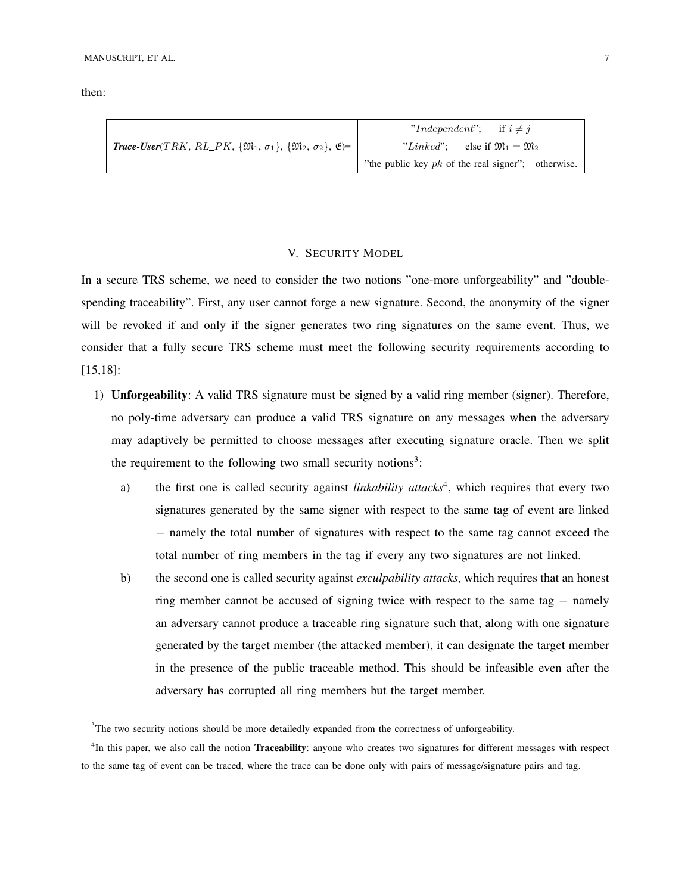then:

|                                                                                                                        | "Independent": if $i \neq j$                         |  |  |
|------------------------------------------------------------------------------------------------------------------------|------------------------------------------------------|--|--|
| <b>Trace-User</b> (TRK, RL_PK, { $\mathfrak{M}_1$ , $\sigma_1$ }, { $\mathfrak{M}_2$ , $\sigma_2$ }, $\mathfrak{E}$ )= | "Linked": else if $\mathfrak{M}_1 = \mathfrak{M}_2$  |  |  |
|                                                                                                                        | "the public key $pk$ of the real signer"; otherwise. |  |  |

## V. SECURITY MODEL

In a secure TRS scheme, we need to consider the two notions "one-more unforgeability" and "doublespending traceability". First, any user cannot forge a new signature. Second, the anonymity of the signer will be revoked if and only if the signer generates two ring signatures on the same event. Thus, we consider that a fully secure TRS scheme must meet the following security requirements according to [15,18]:

- 1) Unforgeability: A valid TRS signature must be signed by a valid ring member (signer). Therefore, no poly-time adversary can produce a valid TRS signature on any messages when the adversary may adaptively be permitted to choose messages after executing signature oracle. Then we split the requirement to the following two small security notions<sup>3</sup>:
	- a) the first one is called security against *linkability attacks*<sup>4</sup>, which requires that every two signatures generated by the same signer with respect to the same tag of event are linked − namely the total number of signatures with respect to the same tag cannot exceed the total number of ring members in the tag if every any two signatures are not linked.
	- b) the second one is called security against *exculpability attacks*, which requires that an honest ring member cannot be accused of signing twice with respect to the same tag − namely an adversary cannot produce a traceable ring signature such that, along with one signature generated by the target member (the attacked member), it can designate the target member in the presence of the public traceable method. This should be infeasible even after the adversary has corrupted all ring members but the target member.

<sup>&</sup>lt;sup>3</sup>The two security notions should be more detailedly expanded from the correctness of unforgeability.

<sup>&</sup>lt;sup>4</sup>In this paper, we also call the notion Traceability: anyone who creates two signatures for different messages with respect to the same tag of event can be traced, where the trace can be done only with pairs of message/signature pairs and tag.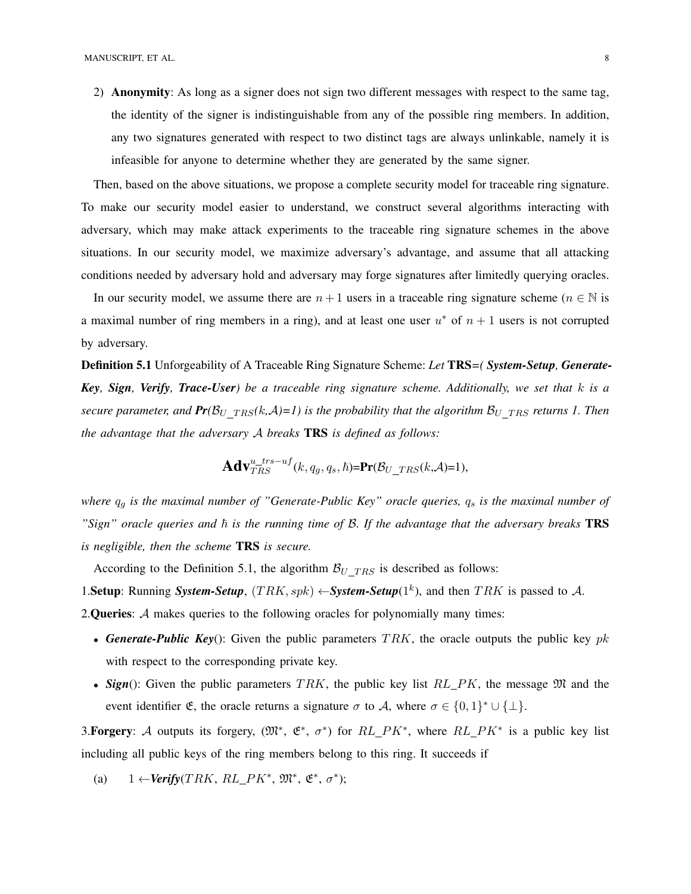2) Anonymity: As long as a signer does not sign two different messages with respect to the same tag, the identity of the signer is indistinguishable from any of the possible ring members. In addition, any two signatures generated with respect to two distinct tags are always unlinkable, namely it is infeasible for anyone to determine whether they are generated by the same signer.

Then, based on the above situations, we propose a complete security model for traceable ring signature. To make our security model easier to understand, we construct several algorithms interacting with adversary, which may make attack experiments to the traceable ring signature schemes in the above situations. In our security model, we maximize adversary's advantage, and assume that all attacking conditions needed by adversary hold and adversary may forge signatures after limitedly querying oracles.

In our security model, we assume there are  $n + 1$  users in a traceable ring signature scheme ( $n \in \mathbb{N}$  is a maximal number of ring members in a ring), and at least one user  $u^*$  of  $n + 1$  users is not corrupted by adversary.

Definition 5.1 Unforgeability of A Traceable Ring Signature Scheme: *Let* TRS*=( System-Setup, Generate-Key, Sign, Verify, Trace-User) be a traceable ring signature scheme. Additionally, we set that* k *is a secure parameter, and*  $Pr(B_U_{TRS}(k, A)=1)$  is the probability that the algorithm  $B_U_{TRS}$  *returns 1. Then the advantage that the adversary* A *breaks* TRS *is defined as follows:*

$$
\mathbf{Adv}_{TRS}^{u\_trs-uf}(k,q_g,q_s,\hbar)=\mathbf{Pr}(\mathcal{B}_{U\_TRS}(k,\mathcal{A})=1),
$$

*where*  $q_g$  *is the maximal number of "Generate-Public Key" oracle queries,*  $q_s$  *<i>is the maximal number of*  $"Sign"$  oracle queries and  $\hbar$  is the running time of  $\mathcal{B}$ . If the advantage that the adversary breaks **TRS** *is negligible, then the scheme* TRS *is secure.*

According to the Definition 5.1, the algorithm  $B_U$  TRS is described as follows:

1. Setup: Running *System-Setup*,  $(TRK, spk) \leftarrow System-Setup(1^k)$ , and then TRK is passed to A.

2. Queries: A makes queries to the following oracles for polynomially many times:

- *Generate-Public Key*(): Given the public parameters  $TRK$ , the oracle outputs the public key pk with respect to the corresponding private key.
- **Sign**(): Given the public parameters  $TRK$ , the public key list  $RL\_PK$ , the message  $\mathfrak{M}$  and the event identifier  $\mathfrak{E}$ , the oracle returns a signature  $\sigma$  to A, where  $\sigma \in \{0,1\}^* \cup \{\perp\}.$

3. Forgery: A outputs its forgery,  $(\mathfrak{M}^*, \mathfrak{E}^*, \sigma^*)$  for  $RL\_PK^*$ , where  $RL\_PK^*$  is a public key list including all public keys of the ring members belong to this ring. It succeeds if

(a)  $1 \leftarrow \text{Verify}(TRK, RL\_PK^*, \mathfrak{M}^*, \mathfrak{E}^*, \sigma^*)$ ;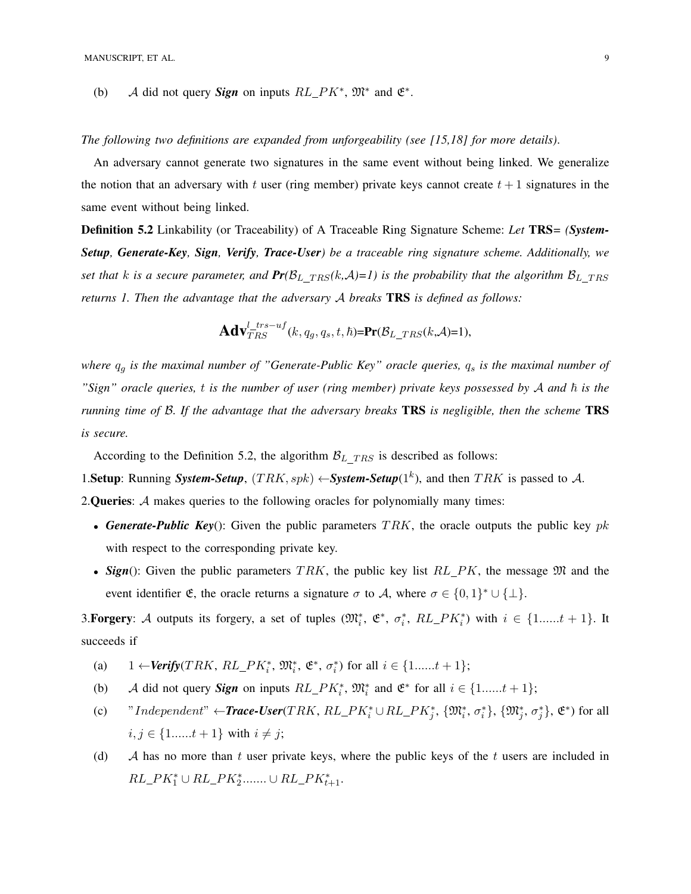(b) A did not query **Sign** on inputs  $RL\_PK^*$ ,  $\mathfrak{M}^*$  and  $\mathfrak{E}^*$ .

*The following two definitions are expanded from unforgeability (see [15,18] for more details)*.

An adversary cannot generate two signatures in the same event without being linked. We generalize the notion that an adversary with t user (ring member) private keys cannot create  $t + 1$  signatures in the same event without being linked.

Definition 5.2 Linkability (or Traceability) of A Traceable Ring Signature Scheme: *Let* TRS*= (System-Setup, Generate-Key, Sign, Verify, Trace-User) be a traceable ring signature scheme. Additionally, we set that k is a secure parameter, and*  $Pr(B_L_{TRS}(k, A)=1)$  *is the probability that the algorithm*  $B_L_{TRS}$ *returns 1. Then the advantage that the adversary* A *breaks* TRS *is defined as follows:*

$$
\mathbf{Adv}_{TRS}^{l\_trs-uf}(k,q_g,q_s,t,\hbar)=\mathbf{Pr}(\mathcal{B}_{L\_TRS}(k,\mathcal{A})=1),
$$

*where*  $q_g$  *is the maximal number of "Generate-Public Key" oracle queries,*  $q_s$  *is the maximal number of* "Sign" oracle queries, *t* is the number of user (ring member) private keys possessed by A and  $\hbar$  is the *running time of* B*. If the advantage that the adversary breaks* TRS *is negligible, then the scheme* TRS *is secure.*

According to the Definition 5.2, the algorithm  $B_L$  TRS is described as follows:

1. Setup: Running *System-Setup*,  $(TRK, spk) \leftarrow System-Setup(1^k)$ , and then TRK is passed to A. 2. Queries: A makes queries to the following oracles for polynomially many times:

- **Generate-Public Key**(): Given the public parameters  $TRK$ , the oracle outputs the public key pk with respect to the corresponding private key.
- **Sign**(): Given the public parameters TRK, the public key list  $RL\_PK$ , the message  $\mathfrak{M}$  and the event identifier  $\mathfrak{E}$ , the oracle returns a signature  $\sigma$  to A, where  $\sigma \in \{0,1\}^* \cup \{\perp\}.$

3. Forgery: A outputs its forgery, a set of tuples  $(\mathfrak{M}_i^*, \mathfrak{E}^*, \sigma_i^*, RL\_PK_i^*)$  with  $i \in \{1, ..., t+1\}$ . It succeeds if

- (a)  $1 \leftarrow \text{Verify}(TRK, RL\_PK_i^*, \mathfrak{M}_i^*, \mathfrak{E}^*, \sigma_i^*)$  for all  $i \in \{1, \ldots, t+1\};$
- (b) A did not query **Sign** on inputs  $RL\_PK_i^*$ ,  $\mathfrak{M}_i^*$  and  $\mathfrak{E}^*$  for all  $i \in \{1, \dots, t+1\}$ ;
- (c) "Independent"  $\leftarrow$ **Trace-User**(TRK, RL\_PK<sup>\*</sup><sub>i</sub>  $\cup$  RL\_PK<sup>\*</sup><sub>j</sub>, { $\mathfrak{M}_i^*, \sigma_i^*$ }, { $\mathfrak{M}_j^*, \sigma_j^*$ },  $\mathfrak{E}^*$ ) for all  $i, j \in \{1, \ldots, t+1\}$  with  $i \neq j$ ;
- (d)  $\mathcal A$  has no more than t user private keys, where the public keys of the t users are included in  $RL\_PK_1^* \cup RL\_PK_2^* \dots \dots \cup RL\_PK_{t+1}^*.$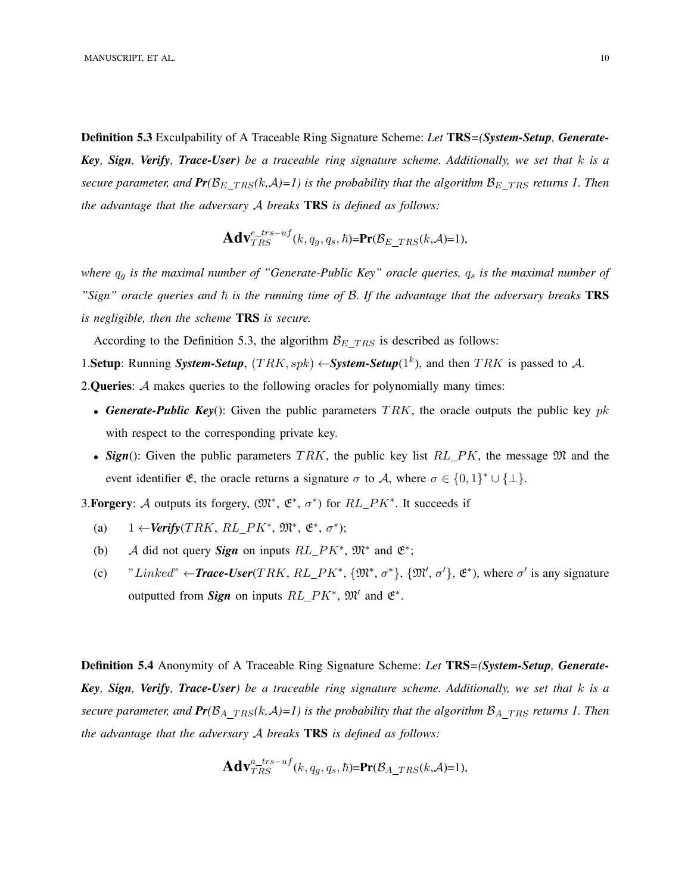Definition 5.3 Exculpability of A Traceable Ring Signature Scheme: *Let* TRS*=(System-Setup, Generate-Key, Sign, Verify, Trace-User) be a traceable ring signature scheme. Additionally, we set that* k *is a secure parameter, and*  $Pr(B_{E \, TRS}(k, \mathcal{A})=1)$  is the probability that the algorithm  $B_{E \, TRS}$  *returns 1. Then the advantage that the adversary* A *breaks* TRS *is defined as follows:*

$$
\mathbf{Adv}_{TRS}^{e\_trs-uf}(k,q_g,q_s,\hbar)=\mathbf{Pr}(\mathcal{B}_{E\_TRS}(k,\mathcal{A})=1),
$$

*where*  $q_g$  *is the maximal number of "Generate-Public Key" oracle queries,*  $q_s$  *is the maximal number of*  $"Sign"$  oracle queries and  $\hbar$  is the running time of B. If the advantage that the adversary breaks **TRS** *is negligible, then the scheme* TRS *is secure.*

According to the Definition 5.3, the algorithm  $B_E$   $_{TRS}$  is described as follows:

1. Setup: Running *System-Setup*,  $(TRK, spk) \leftarrow System-Setup(1^k)$ , and then TRK is passed to A.

2. Queries: A makes queries to the following oracles for polynomially many times:

- **Generate-Public Key**(): Given the public parameters  $TRK$ , the oracle outputs the public key pk with respect to the corresponding private key.
- **Sign**(): Given the public parameters TRK, the public key list  $RL\_PK$ , the message  $\mathfrak{M}$  and the event identifier  $\mathfrak{E}$ , the oracle returns a signature  $\sigma$  to A, where  $\sigma \in \{0,1\}^* \cup \{\perp\}.$

3. Forgery: A outputs its forgery,  $(\mathfrak{M}^*, \mathfrak{E}^*, \sigma^*)$  for  $RL\_PK^*$ . It succeeds if

- (a)  $1 \leftarrow \text{Verify}(TRK, RL\_PK^*, \mathfrak{M}^*, \mathfrak{E}^*, \sigma^*)$ ;
- (b) A did not query **Sign** on inputs  $RL\_PK^*$ ,  $\mathfrak{M}^*$  and  $\mathfrak{E}^*$ ;
- (c) "Linked"  $\leftarrow$ **Trace-User**(TRK, RL\_PK<sup>\*</sup>, { $\mathfrak{M}^*, \sigma^*$ }, { $\mathfrak{M}', \sigma'$ },  $\mathfrak{E}^*$ ), where  $\sigma'$  is any signature outputted from *Sign* on inputs  $RL\_PK^*$ ,  $\mathfrak{M}'$  and  $\mathfrak{E}^*$ .

Definition 5.4 Anonymity of A Traceable Ring Signature Scheme: *Let* TRS*=(System-Setup, Generate-Key, Sign, Verify, Trace-User) be a traceable ring signature scheme. Additionally, we set that* k *is a secure parameter, and*  $Pr(B_{A_TRS}(k, A)=1)$  *is the probability that the algorithm*  $B_{A_TRS}$  *returns 1. Then the advantage that the adversary* A *breaks* TRS *is defined as follows:*

$$
\mathbf{Adv}_{TRS}^{a\_trs-uf}(k,q_g,q_s,\hbar)=\mathbf{Pr}(\mathcal{B}_{A\_TRS}(k,\mathcal{A})=1),
$$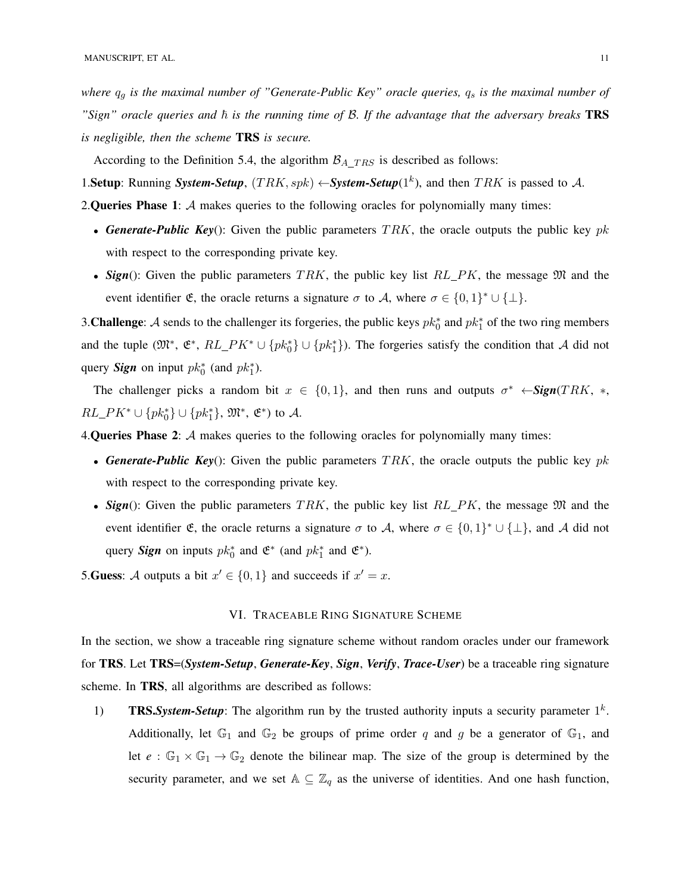*where*  $q_g$  *is the maximal number of "Generate-Public Key" oracle queries,*  $q_s$  *is the maximal number of*  $"Sign"$  oracle queries and  $\hbar$  is the running time of  $\mathcal{B}$ . If the advantage that the adversary breaks **TRS** *is negligible, then the scheme* TRS *is secure.*

According to the Definition 5.4, the algorithm  $\mathcal{B}_{A}$  TRS is described as follows:

1. Setup: Running *System-Setup*,  $(TRK, spk) \leftarrow System-Setup(1^k)$ , and then TRK is passed to A.

2. Queries Phase 1:  $A$  makes queries to the following oracles for polynomially many times:

- **Generate-Public Key**(): Given the public parameters  $TRK$ , the oracle outputs the public key pk with respect to the corresponding private key.
- **Sign**(): Given the public parameters TRK, the public key list  $RL\_PK$ , the message  $\mathfrak{M}$  and the event identifier  $\mathfrak{E}$ , the oracle returns a signature  $\sigma$  to A, where  $\sigma \in \{0,1\}^* \cup \{\perp\}.$

3. Challenge: A sends to the challenger its forgeries, the public keys  $pk_0^*$  and  $pk_1^*$  of the two ring members and the tuple  $(\mathfrak{M}^*, \mathfrak{E}^*, RL\_PK^* \cup \{pk_0^*\} \cup \{pk_1^*\})$ . The forgeries satisfy the condition that A did not query *Sign* on input  $pk_0^*$  (and  $pk_1^*$ ).

The challenger picks a random bit  $x \in \{0, 1\}$ , and then runs and outputs  $\sigma^* \leftarrow \text{Sign}(TRK, *, \text{length})$  $RL\_PK^* \cup \{pk_0^*\} \cup \{pk_1^*\}, \, \mathfrak{M}^*, \, \mathfrak{E}^*$  to A.

4. Queries Phase 2:  $A$  makes queries to the following oracles for polynomially many times:

- **Generate-Public Key**(): Given the public parameters  $TRK$ , the oracle outputs the public key pk with respect to the corresponding private key.
- $Sign()$ : Given the public parameters TRK, the public key list RL PK, the message  $\mathfrak{M}$  and the event identifier  $\mathfrak{E}$ , the oracle returns a signature  $\sigma$  to A, where  $\sigma \in \{0,1\}^* \cup \{\perp\}$ , and A did not query *Sign* on inputs  $pk_0^*$  and  $\mathfrak{E}^*$  (and  $pk_1^*$  and  $\mathfrak{E}^*$ ).

5. Guess: A outputs a bit  $x' \in \{0, 1\}$  and succeeds if  $x' = x$ .

## VI. TRACEABLE RING SIGNATURE SCHEME

In the section, we show a traceable ring signature scheme without random oracles under our framework for TRS. Let TRS=(*System-Setup*, *Generate-Key*, *Sign*, *Verify*, *Trace-User*) be a traceable ring signature scheme. In TRS, all algorithms are described as follows:

1) **TRS.** System-Setup: The algorithm run by the trusted authority inputs a security parameter  $1^k$ . Additionally, let  $\mathbb{G}_1$  and  $\mathbb{G}_2$  be groups of prime order q and g be a generator of  $\mathbb{G}_1$ , and let  $e : \mathbb{G}_1 \times \mathbb{G}_1 \to \mathbb{G}_2$  denote the bilinear map. The size of the group is determined by the security parameter, and we set  $A \subseteq \mathbb{Z}_q$  as the universe of identities. And one hash function,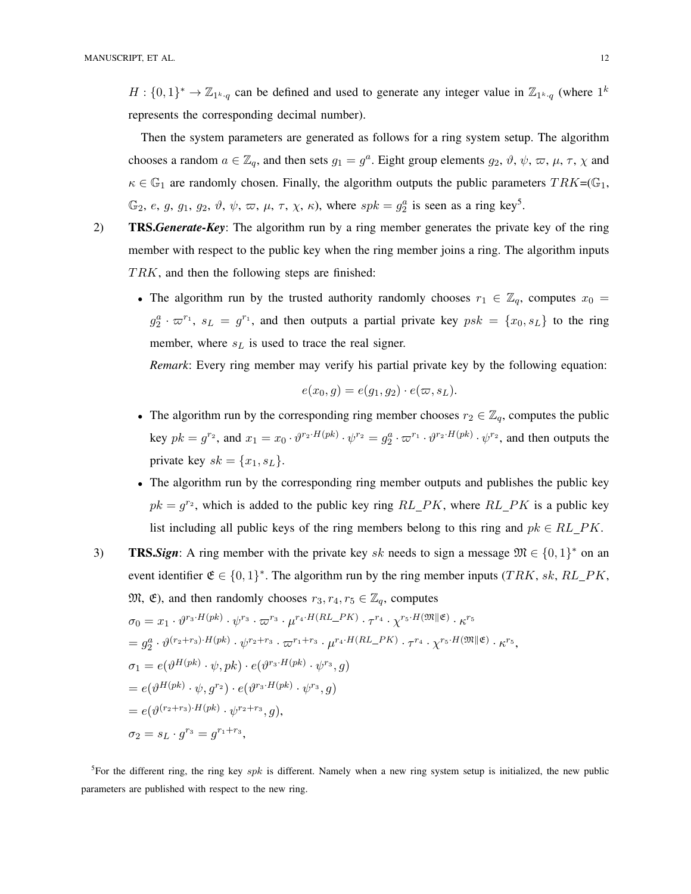$H: \{0,1\}^* \to \mathbb{Z}_{1^k \cdot q}$  can be defined and used to generate any integer value in  $\mathbb{Z}_{1^k \cdot q}$  (where  $1^k$ represents the corresponding decimal number).

Then the system parameters are generated as follows for a ring system setup. The algorithm chooses a random  $a \in \mathbb{Z}_q$ , and then sets  $g_1 = g^a$ . Eight group elements  $g_2, \vartheta, \psi, \varpi, \mu, \tau, \chi$  and  $\kappa \in \mathbb{G}_1$  are randomly chosen. Finally, the algorithm outputs the public parameters  $TRK = \mathbb{G}_1$ ,  $\mathbb{G}_2$ , e, g, g<sub>1</sub>, g<sub>2</sub>,  $\vartheta$ ,  $\psi$ ,  $\varpi$ ,  $\mu$ ,  $\tau$ ,  $\chi$ ,  $\kappa$ ), where  $spk = g_2^a$  is seen as a ring key<sup>5</sup>.

- 2) TRS.*Generate-Key*: The algorithm run by a ring member generates the private key of the ring member with respect to the public key when the ring member joins a ring. The algorithm inputs  $TRK$ , and then the following steps are finished:
	- The algorithm run by the trusted authority randomly chooses  $r_1 \in \mathbb{Z}_q$ , computes  $x_0 =$  $g_2^a \cdot \varpi^{r_1}$ ,  $s_L = g^{r_1}$ , and then outputs a partial private key  $psk = \{x_0, s_L\}$  to the ring member, where  $s_L$  is used to trace the real signer.

*Remark*: Every ring member may verify his partial private key by the following equation:

$$
e(x_0, g) = e(g_1, g_2) \cdot e(\varpi, s_L).
$$

- The algorithm run by the corresponding ring member chooses  $r_2 \in \mathbb{Z}_q$ , computes the public key  $pk = g^{r_2}$ , and  $x_1 = x_0 \cdot \vartheta^{r_2 \cdot H(pk)} \cdot \psi^{r_2} = g_2^a \cdot \varpi^{r_1} \cdot \vartheta^{r_2 \cdot H(pk)} \cdot \psi^{r_2}$ , and then outputs the private key  $sk = \{x_1, s_L\}.$
- The algorithm run by the corresponding ring member outputs and publishes the public key  $pk = g<sup>r<sub>2</sub></sup>$ , which is added to the public key ring  $RL\_PK$ , where  $RL\_PK$  is a public key list including all public keys of the ring members belong to this ring and  $pk \in RL$  PK.
- 3) **TRS.***Sign*: A ring member with the private key sk needs to sign a message  $\mathfrak{M} \in \{0,1\}^*$  on an event identifier  $\mathfrak{E} \in \{0,1\}^*$ . The algorithm run by the ring member inputs (TRK, sk, RL\_PK,  $\mathfrak{M}, \mathfrak{E}$ ), and then randomly chooses  $r_3, r_4, r_5 \in \mathbb{Z}_q$ , computes  $\sigma_0 = x_1 \cdot \vartheta^{r_3 \cdot H(pk)} \cdot \psi^{r_3} \cdot \varpi^{r_3} \cdot \mu^{r_4 \cdot H(RL\_PK)} \cdot \tau^{r_4} \cdot \chi^{r_5 \cdot H(\mathfrak{M} \| \mathfrak{E})} \cdot \kappa^{r_5}$  $=g_2^a\cdot\vartheta^{(r_2+r_3)\cdot H(pk)}\cdot\psi^{r_2+r_3}\cdot\varpi^{r_1+r_3}\cdot\mu^{r_4\cdot H(RL\_PK)}\cdot\tau^{r_4}\cdot\chi^{r_5\cdot H(\mathfrak{M}\parallel\mathfrak{E})}\cdot\kappa^{r_5},$  $\sigma_1 = e(\vartheta^{H(pk)} \cdot \psi, pk) \cdot e(\vartheta^{r_3 \cdot H(pk)} \cdot \psi^{r_3}, g)$  $= e(\vartheta^{H(pk)}\cdot \psi, g^{r_2})\cdot e(\vartheta^{r_3\cdot H(pk)}\cdot \psi^{r_3}, g)$  $= e(\vartheta^{(r_2+r_3)\cdot H(pk)} \cdot \psi^{r_2+r_3}, g),$  $\sigma_2 = s_L \cdot g^{r_3} = g^{r_1+r_3},$

<sup>5</sup>For the different ring, the ring key spk is different. Namely when a new ring system setup is initialized, the new public parameters are published with respect to the new ring.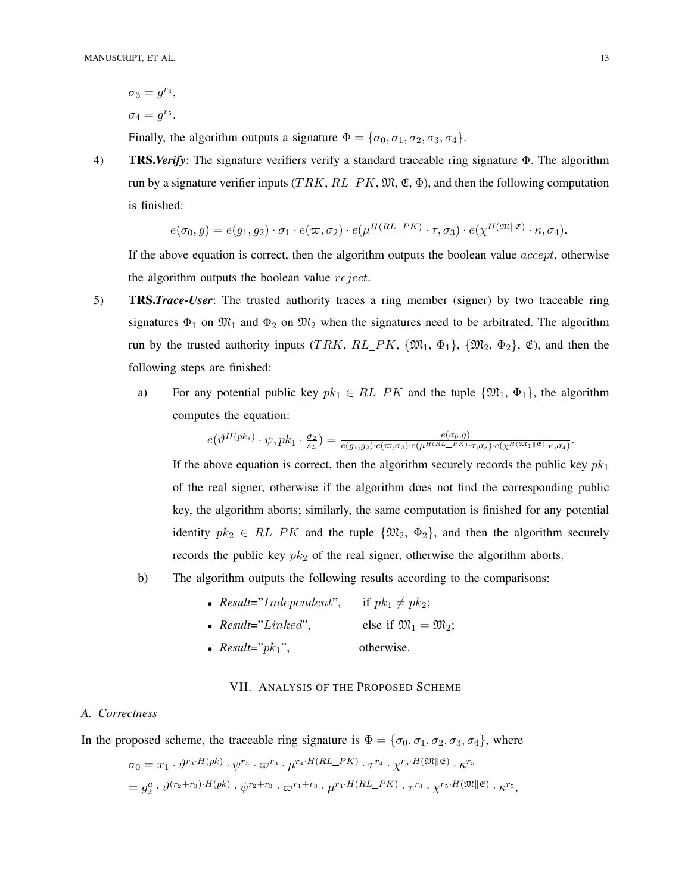$\sigma_3 = g^{r_4},$  $\sigma_4 = g^{r_5}.$ 

Finally, the algorithm outputs a signature  $\Phi = {\sigma_0, \sigma_1, \sigma_2, \sigma_3, \sigma_4}.$ 

4) TRS.*Verify*: The signature verifiers verify a standard traceable ring signature Φ. The algorithm run by a signature verifier inputs (TRK, RL PK,  $\mathfrak{M}, \mathfrak{E}, \Phi$ ), and then the following computation is finished:

$$
e(\sigma_0, g) = e(g_1, g_2) \cdot \sigma_1 \cdot e(\varpi, \sigma_2) \cdot e(\mu^{H(RL\_PK)} \cdot \tau, \sigma_3) \cdot e(\chi^{H(\mathfrak{M} \parallel \mathfrak{E})} \cdot \kappa, \sigma_4).
$$

 $H(x) = 1 - 2$ 

If the above equation is correct, then the algorithm outputs the boolean value accept, otherwise the algorithm outputs the boolean value reject.

- 5) TRS.*Trace-User*: The trusted authority traces a ring member (signer) by two traceable ring signatures  $\Phi_1$  on  $\mathfrak{M}_1$  and  $\Phi_2$  on  $\mathfrak{M}_2$  when the signatures need to be arbitrated. The algorithm run by the trusted authority inputs (TRK,  $RL\_PK$ ,  $\{\mathfrak{M}_1, \Phi_1\}$ ,  $\{\mathfrak{M}_2, \Phi_2\}$ ,  $\mathfrak{E}$ ), and then the following steps are finished:
	- a) For any potential public key  $pk_1 \in RL\_PK$  and the tuple  $\{\mathfrak{M}_1, \Phi_1\}$ , the algorithm computes the equation:

$$
e(\vartheta^{H(pk_1)}\cdot \psi, pk_1 \cdot \tfrac{\sigma_2}{s_L}) = \tfrac{e(\sigma_0, g)}{e(g_1, g_2) \cdot e(\varpi, \sigma_2) \cdot e(\mu^{H(RL - PK)} \cdot \tau, \sigma_3) \cdot e(\chi^{H(\mathfrak{M}_1 \| \mathfrak{E})} \cdot \kappa, \sigma_4)}.
$$

If the above equation is correct, then the algorithm securely records the public key  $pk<sub>1</sub>$ of the real signer, otherwise if the algorithm does not find the corresponding public key, the algorithm aborts; similarly, the same computation is finished for any potential identity  $pk_2 \in RL\_PK$  and the tuple  $\{\mathfrak{M}_2, \Phi_2\}$ , and then the algorithm securely records the public key  $pk_2$  of the real signer, otherwise the algorithm aborts.

- b) The algorithm outputs the following results according to the comparisons:
	- *Result="Independent"*, if  $pk_1 \neq pk_2$ ;
	- *Result*="Linked", else if  $\mathfrak{M}_1 = \mathfrak{M}_2$ ;
	- $Result="pk1"$ , otherwise.

## VII. ANALYSIS OF THE PROPOSED SCHEME

## *A. Correctness*

In the proposed scheme, the traceable ring signature is  $\Phi = {\sigma_0, \sigma_1, \sigma_2, \sigma_3, \sigma_4}$ , where

$$
\sigma_0 = x_1 \cdot \vartheta^{r_3 \cdot H(pk)} \cdot \varphi^{r_3} \cdot \varpi^{r_3} \cdot \mu^{r_4 \cdot H(RL\_PK)} \cdot \tau^{r_4} \cdot \chi^{r_5 \cdot H(\mathfrak{M} \parallel \mathfrak{E})} \cdot \kappa^{r_5}
$$
  
=  $g_2^a \cdot \vartheta^{(r_2+r_3) \cdot H(pk)} \cdot \varphi^{r_2+r_3} \cdot \varpi^{r_1+r_3} \cdot \mu^{r_4 \cdot H(RL\_PK)} \cdot \tau^{r_4} \cdot \chi^{r_5 \cdot H(\mathfrak{M} \parallel \mathfrak{E})} \cdot \kappa^{r_5},$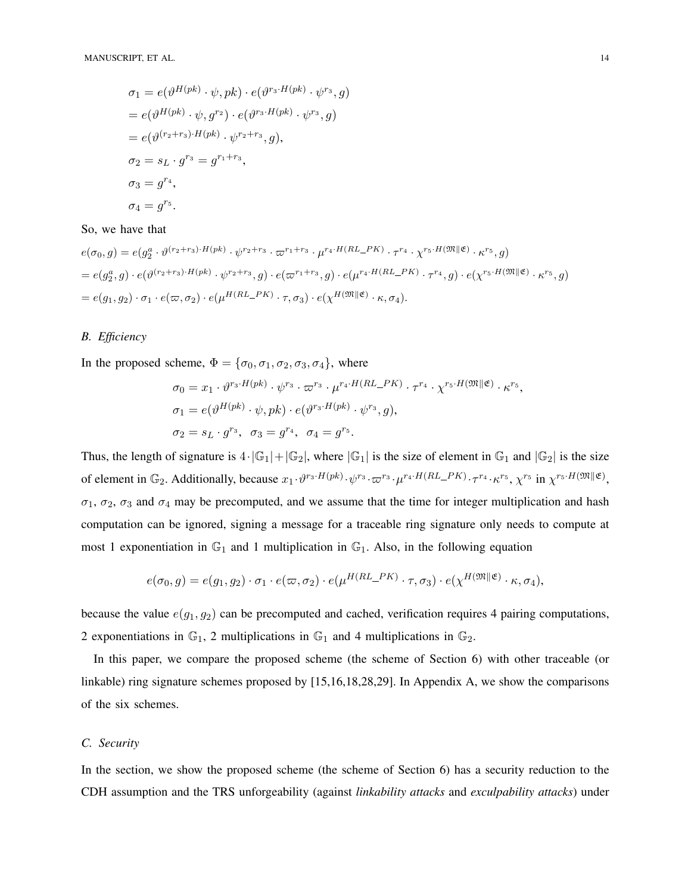$$
\sigma_1 = e(\vartheta^{H(pk)} \cdot \psi, pk) \cdot e(\vartheta^{r_3 \cdot H(pk)} \cdot \psi^{r_3}, g)
$$
  
= 
$$
e(\vartheta^{H(pk)} \cdot \psi, g^{r_2}) \cdot e(\vartheta^{r_3 \cdot H(pk)} \cdot \psi^{r_3}, g)
$$
  
= 
$$
e(\vartheta^{(r_2+r_3) \cdot H(pk)} \cdot \psi^{r_2+r_3}, g),
$$
  

$$
\sigma_2 = s_L \cdot g^{r_3} = g^{r_1+r_3},
$$
  

$$
\sigma_3 = g^{r_4},
$$
  

$$
\sigma_4 = g^{r_5}.
$$

## So, we have that

$$
e(\sigma_0, g) = e(g_2^a \cdot \vartheta^{(r_2+r_3)\cdot H(pk)} \cdot \varphi^{r_2+r_3} \cdot \varpi^{r_1+r_3} \cdot \mu^{r_4 \cdot H(RL\_PK)} \cdot \tau^{r_4} \cdot \chi^{r_5 \cdot H(\mathfrak{M}|\mathfrak{E})} \cdot \kappa^{r_5}, g)
$$
  
=  $e(g_2^a, g) \cdot e(\vartheta^{(r_2+r_3)\cdot H(pk)} \cdot \varphi^{r_2+r_3}, g) \cdot e(\varpi^{r_1+r_3}, g) \cdot e(\mu^{r_4 \cdot H(RL\_PK)} \cdot \tau^{r_4}, g) \cdot e(\chi^{r_5 \cdot H(\mathfrak{M}|\mathfrak{E})} \cdot \kappa^{r_5}, g)$   
=  $e(g_1, g_2) \cdot \sigma_1 \cdot e(\varpi, \sigma_2) \cdot e(\mu^{H(RL\_PK)} \cdot \tau, \sigma_3) \cdot e(\chi^{H(\mathfrak{M}|\mathfrak{E})} \cdot \kappa, \sigma_4).$ 

# *B. Efficiency*

In the proposed scheme,  $\Phi = {\sigma_0, \sigma_1, \sigma_2, \sigma_3, \sigma_4}$ , where

$$
\sigma_0 = x_1 \cdot \vartheta^{r_3 \cdot H(pk)} \cdot \psi^{r_3} \cdot \varpi^{r_3} \cdot \mu^{r_4 \cdot H(RL\_PK)} \cdot \tau^{r_4} \cdot \chi^{r_5 \cdot H(\mathfrak{M} \parallel \mathfrak{E})} \cdot \kappa^{r_5},
$$
  
\n
$$
\sigma_1 = e(\vartheta^{H(pk)} \cdot \psi, pk) \cdot e(\vartheta^{r_3 \cdot H(pk)} \cdot \psi^{r_3}, g),
$$
  
\n
$$
\sigma_2 = s_L \cdot g^{r_3}, \quad \sigma_3 = g^{r_4}, \quad \sigma_4 = g^{r_5}.
$$

Thus, the length of signature is  $4 \cdot |\mathbb{G}_1| + |\mathbb{G}_2|$ , where  $|\mathbb{G}_1|$  is the size of element in  $\mathbb{G}_1$  and  $|\mathbb{G}_2|$  is the size of element in  $\mathbb{G}_2$ . Additionally, because  $x_1 \cdot \vartheta^{r_3 \cdot H(pk)} \cdot \varphi^{r_3} \cdot \varpi^{r_3} \cdot \mu^{r_4 \cdot H(RL\_PK)} \cdot \tau^{r_4} \cdot \kappa^{r_5}, \chi^{r_5}$  in  $\chi^{r_5 \cdot H(\mathfrak{M} \parallel \mathfrak{E})}$ ,  $\sigma_1$ ,  $\sigma_2$ ,  $\sigma_3$  and  $\sigma_4$  may be precomputed, and we assume that the time for integer multiplication and hash computation can be ignored, signing a message for a traceable ring signature only needs to compute at most 1 exponentiation in  $\mathbb{G}_1$  and 1 multiplication in  $\mathbb{G}_1$ . Also, in the following equation

$$
e(\sigma_0, g) = e(g_1, g_2) \cdot \sigma_1 \cdot e(\varpi, \sigma_2) \cdot e(\mu^{H(RL\_PK)} \cdot \tau, \sigma_3) \cdot e(\chi^{H(\mathfrak{M} \parallel \mathfrak{E})} \cdot \kappa, \sigma_4),
$$

because the value  $e(g_1, g_2)$  can be precomputed and cached, verification requires 4 pairing computations, 2 exponentiations in  $\mathbb{G}_1$ , 2 multiplications in  $\mathbb{G}_1$  and 4 multiplications in  $\mathbb{G}_2$ .

In this paper, we compare the proposed scheme (the scheme of Section 6) with other traceable (or linkable) ring signature schemes proposed by [15,16,18,28,29]. In Appendix A, we show the comparisons of the six schemes.

# *C. Security*

In the section, we show the proposed scheme (the scheme of Section 6) has a security reduction to the CDH assumption and the TRS unforgeability (against *linkability attacks* and *exculpability attacks*) under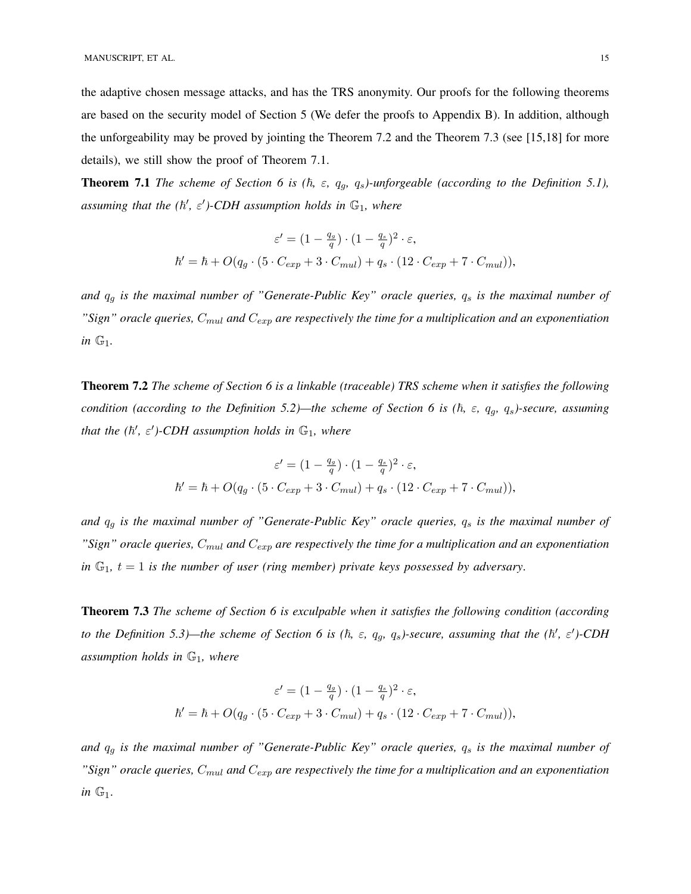the adaptive chosen message attacks, and has the TRS anonymity. Our proofs for the following theorems are based on the security model of Section 5 (We defer the proofs to Appendix B). In addition, although the unforgeability may be proved by jointing the Theorem 7.2 and the Theorem 7.3 (see [15,18] for more details), we still show the proof of Theorem 7.1.

**Theorem 7.1** *The scheme of Section 6 is (h,*  $\varepsilon$ *, q<sub>q</sub>, q<sub>s</sub>)-unforgeable (according to the Definition 5.1),*  $a$ ssuming that the  $(\hbar', \varepsilon')$ -CDH assumption holds in  $\mathbb{G}_1$ , where

$$
\varepsilon' = (1 - \frac{q_g}{q}) \cdot (1 - \frac{q_s}{q})^2 \cdot \varepsilon,
$$
  

$$
\hbar' = \hbar + O(q_g \cdot (5 \cdot C_{exp} + 3 \cdot C_{mul}) + q_s \cdot (12 \cdot C_{exp} + 7 \cdot C_{mul})),
$$

*and*  $q_g$  *is the maximal number of "Generate-Public Key" oracle queries,*  $q_s$  *is the maximal number of "Sign" oracle queries,*  $C_{mul}$  *and*  $C_{exp}$  *are respectively the time for a multiplication and an exponentiation in* G1*.*

Theorem 7.2 *The scheme of Section 6 is a linkable (traceable) TRS scheme when it satisfies the following condition (according to the Definition 5.2)—the scheme of Section 6 is (* $\hbar$ *,*  $\varepsilon$ *,*  $q_g$ *,*  $q_s$ *)-secure, assuming that the*  $(h', \varepsilon')$ *-CDH assumption holds in*  $\mathbb{G}_1$ *, where* 

$$
\varepsilon' = (1 - \frac{q_g}{q}) \cdot (1 - \frac{q_s}{q})^2 \cdot \varepsilon,
$$
  

$$
\hbar' = \hbar + O(q_g \cdot (5 \cdot C_{exp} + 3 \cdot C_{mul}) + q_s \cdot (12 \cdot C_{exp} + 7 \cdot C_{mul})),
$$

and  $q_g$  *is the maximal number of "Generate-Public Key" oracle queries,*  $q_s$  *is the maximal number of*  $"Sign"$  oracle queries,  $C_{mul}$  and  $C_{exp}$  are respectively the time for a multiplication and an exponentiation *in*  $\mathbb{G}_1$ ,  $t = 1$  *is the number of user (ring member) private keys possessed by adversary.* 

Theorem 7.3 *The scheme of Section 6 is exculpable when it satisfies the following condition (according to the Definition 5.3)—the scheme of Section 6 is (* $\hbar$ *,*  $\varepsilon$ *,*  $q_g$ *,*  $q_s$ *)-secure, assuming that the (* $\hbar'$ *,*  $\varepsilon'$ *)-CDH assumption holds in* G1*, where*

$$
\varepsilon' = (1 - \frac{q_g}{q}) \cdot (1 - \frac{q_s}{q})^2 \cdot \varepsilon,
$$
  

$$
\hbar' = \hbar + O(q_g \cdot (5 \cdot C_{exp} + 3 \cdot C_{mul}) + q_s \cdot (12 \cdot C_{exp} + 7 \cdot C_{mul})),
$$

and  $q_g$  *is the maximal number of "Generate-Public Key" oracle queries,*  $q_s$  *is the maximal number of*  $"Sign"$  oracle queries,  $C_{mul}$  and  $C_{exp}$  are respectively the time for a multiplication and an exponentiation *in* G1.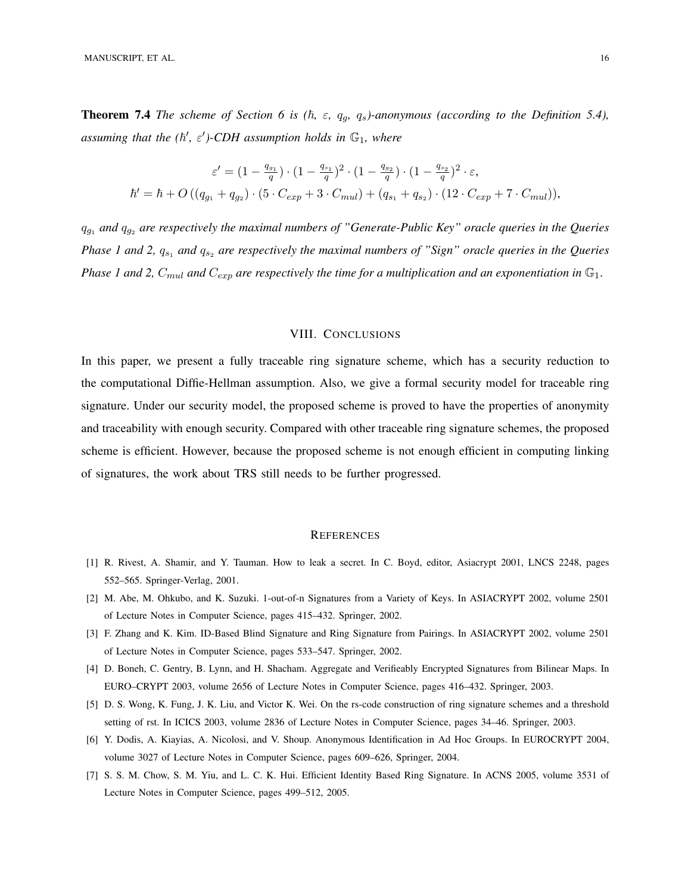**Theorem 7.4** *The scheme of Section 6 is*  $(\hbar, \varepsilon, q_g, q_s)$ *-anonymous (according to the Definition 5.4),*  $a$ ssuming that the  $(\hbar', \varepsilon')$ -CDH assumption holds in  $\mathbb{G}_1$ , where

$$
\varepsilon' = (1 - \frac{q_{g_1}}{q}) \cdot (1 - \frac{q_{s_1}}{q})^2 \cdot (1 - \frac{q_{g_2}}{q}) \cdot (1 - \frac{q_{s_2}}{q})^2 \cdot \varepsilon,
$$
  

$$
\hbar' = \hbar + O((q_{g_1} + q_{g_2}) \cdot (5 \cdot C_{exp} + 3 \cdot C_{mul}) + (q_{s_1} + q_{s_2}) \cdot (12 \cdot C_{exp} + 7 \cdot C_{mul})),
$$

 $q_{g_1}$  and  $q_{g_2}$  are respectively the maximal numbers of "Generate-Public Key" oracle queries in the Queries *Phase 1 and 2,*  $q_{s_1}$  *and*  $q_{s_2}$  *are respectively the maximal numbers of "Sign" oracle queries in the Queries Phase 1 and 2,*  $C_{mul}$  *and*  $C_{exp}$  *are respectively the time for a multiplication and an exponentiation in*  $\mathbb{G}_1$ .

## VIII. CONCLUSIONS

In this paper, we present a fully traceable ring signature scheme, which has a security reduction to the computational Diffie-Hellman assumption. Also, we give a formal security model for traceable ring signature. Under our security model, the proposed scheme is proved to have the properties of anonymity and traceability with enough security. Compared with other traceable ring signature schemes, the proposed scheme is efficient. However, because the proposed scheme is not enough efficient in computing linking of signatures, the work about TRS still needs to be further progressed.

#### **REFERENCES**

- [1] R. Rivest, A. Shamir, and Y. Tauman. How to leak a secret. In C. Boyd, editor, Asiacrypt 2001, LNCS 2248, pages 552–565. Springer-Verlag, 2001.
- [2] M. Abe, M. Ohkubo, and K. Suzuki. 1-out-of-n Signatures from a Variety of Keys. In ASIACRYPT 2002, volume 2501 of Lecture Notes in Computer Science, pages 415–432. Springer, 2002.
- [3] F. Zhang and K. Kim. ID-Based Blind Signature and Ring Signature from Pairings. In ASIACRYPT 2002, volume 2501 of Lecture Notes in Computer Science, pages 533–547. Springer, 2002.
- [4] D. Boneh, C. Gentry, B. Lynn, and H. Shacham. Aggregate and Verifieably Encrypted Signatures from Bilinear Maps. In EURO–CRYPT 2003, volume 2656 of Lecture Notes in Computer Science, pages 416–432. Springer, 2003.
- [5] D. S. Wong, K. Fung, J. K. Liu, and Victor K. Wei. On the rs-code construction of ring signature schemes and a threshold setting of rst. In ICICS 2003, volume 2836 of Lecture Notes in Computer Science, pages 34–46. Springer, 2003.
- [6] Y. Dodis, A. Kiayias, A. Nicolosi, and V. Shoup. Anonymous Identification in Ad Hoc Groups. In EUROCRYPT 2004, volume 3027 of Lecture Notes in Computer Science, pages 609–626, Springer, 2004.
- [7] S. S. M. Chow, S. M. Yiu, and L. C. K. Hui. Efficient Identity Based Ring Signature. In ACNS 2005, volume 3531 of Lecture Notes in Computer Science, pages 499–512, 2005.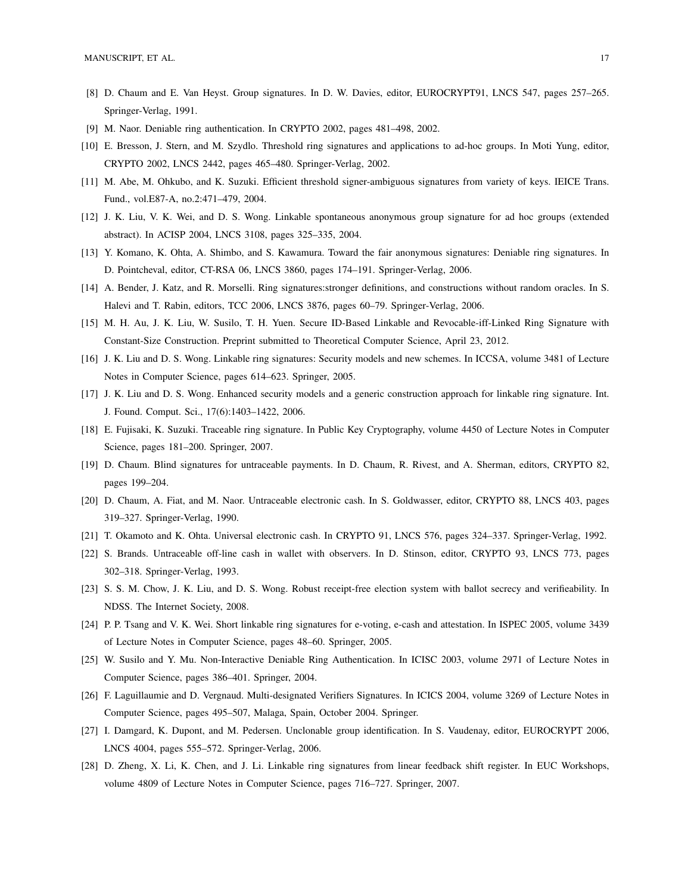- [8] D. Chaum and E. Van Heyst. Group signatures. In D. W. Davies, editor, EUROCRYPT91, LNCS 547, pages 257–265. Springer-Verlag, 1991.
- [9] M. Naor. Deniable ring authentication. In CRYPTO 2002, pages 481–498, 2002.
- [10] E. Bresson, J. Stern, and M. Szydlo. Threshold ring signatures and applications to ad-hoc groups. In Moti Yung, editor, CRYPTO 2002, LNCS 2442, pages 465–480. Springer-Verlag, 2002.
- [11] M. Abe, M. Ohkubo, and K. Suzuki. Efficient threshold signer-ambiguous signatures from variety of keys. IEICE Trans. Fund., vol.E87-A, no.2:471–479, 2004.
- [12] J. K. Liu, V. K. Wei, and D. S. Wong. Linkable spontaneous anonymous group signature for ad hoc groups (extended abstract). In ACISP 2004, LNCS 3108, pages 325–335, 2004.
- [13] Y. Komano, K. Ohta, A. Shimbo, and S. Kawamura. Toward the fair anonymous signatures: Deniable ring signatures. In D. Pointcheval, editor, CT-RSA 06, LNCS 3860, pages 174–191. Springer-Verlag, 2006.
- [14] A. Bender, J. Katz, and R. Morselli. Ring signatures:stronger definitions, and constructions without random oracles. In S. Halevi and T. Rabin, editors, TCC 2006, LNCS 3876, pages 60–79. Springer-Verlag, 2006.
- [15] M. H. Au, J. K. Liu, W. Susilo, T. H. Yuen. Secure ID-Based Linkable and Revocable-iff-Linked Ring Signature with Constant-Size Construction. Preprint submitted to Theoretical Computer Science, April 23, 2012.
- [16] J. K. Liu and D. S. Wong. Linkable ring signatures: Security models and new schemes. In ICCSA, volume 3481 of Lecture Notes in Computer Science, pages 614–623. Springer, 2005.
- [17] J. K. Liu and D. S. Wong. Enhanced security models and a generic construction approach for linkable ring signature. Int. J. Found. Comput. Sci., 17(6):1403–1422, 2006.
- [18] E. Fujisaki, K. Suzuki. Traceable ring signature. In Public Key Cryptography, volume 4450 of Lecture Notes in Computer Science, pages 181–200. Springer, 2007.
- [19] D. Chaum. Blind signatures for untraceable payments. In D. Chaum, R. Rivest, and A. Sherman, editors, CRYPTO 82, pages 199–204.
- [20] D. Chaum, A. Fiat, and M. Naor. Untraceable electronic cash. In S. Goldwasser, editor, CRYPTO 88, LNCS 403, pages 319–327. Springer-Verlag, 1990.
- [21] T. Okamoto and K. Ohta. Universal electronic cash. In CRYPTO 91, LNCS 576, pages 324–337. Springer-Verlag, 1992.
- [22] S. Brands. Untraceable off-line cash in wallet with observers. In D. Stinson, editor, CRYPTO 93, LNCS 773, pages 302–318. Springer-Verlag, 1993.
- [23] S. S. M. Chow, J. K. Liu, and D. S. Wong. Robust receipt-free election system with ballot secrecy and verifieability. In NDSS. The Internet Society, 2008.
- [24] P. P. Tsang and V. K. Wei. Short linkable ring signatures for e-voting, e-cash and attestation. In ISPEC 2005, volume 3439 of Lecture Notes in Computer Science, pages 48–60. Springer, 2005.
- [25] W. Susilo and Y. Mu. Non-Interactive Deniable Ring Authentication. In ICISC 2003, volume 2971 of Lecture Notes in Computer Science, pages 386–401. Springer, 2004.
- [26] F. Laguillaumie and D. Vergnaud. Multi-designated Verifiers Signatures. In ICICS 2004, volume 3269 of Lecture Notes in Computer Science, pages 495–507, Malaga, Spain, October 2004. Springer.
- [27] I. Damgard, K. Dupont, and M. Pedersen. Unclonable group identification. In S. Vaudenay, editor, EUROCRYPT 2006, LNCS 4004, pages 555–572. Springer-Verlag, 2006.
- [28] D. Zheng, X. Li, K. Chen, and J. Li. Linkable ring signatures from linear feedback shift register. In EUC Workshops, volume 4809 of Lecture Notes in Computer Science, pages 716–727. Springer, 2007.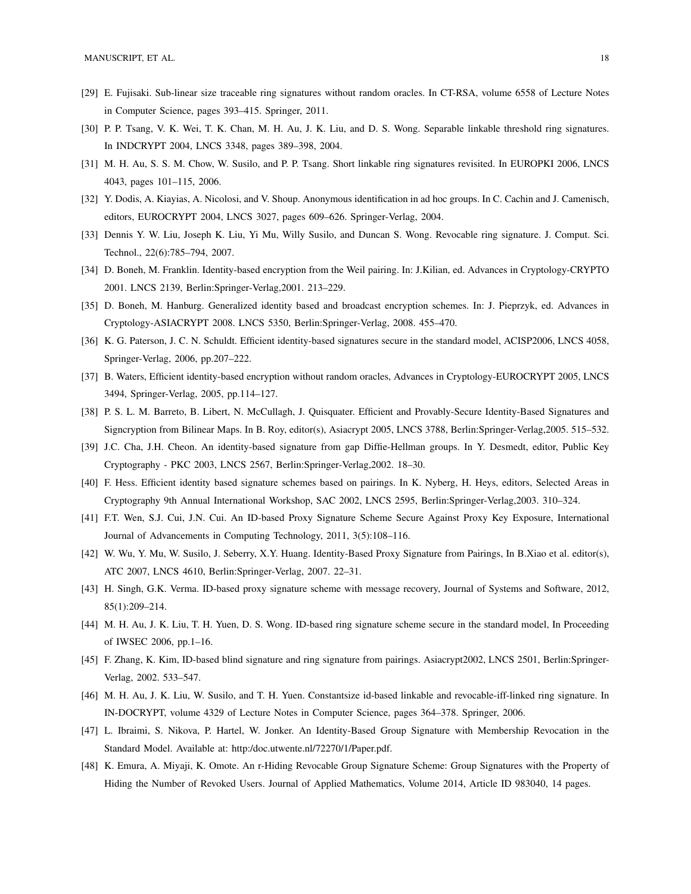- [29] E. Fujisaki. Sub-linear size traceable ring signatures without random oracles. In CT-RSA, volume 6558 of Lecture Notes in Computer Science, pages 393–415. Springer, 2011.
- [30] P. P. Tsang, V. K. Wei, T. K. Chan, M. H. Au, J. K. Liu, and D. S. Wong. Separable linkable threshold ring signatures. In INDCRYPT 2004, LNCS 3348, pages 389–398, 2004.
- [31] M. H. Au, S. S. M. Chow, W. Susilo, and P. P. Tsang. Short linkable ring signatures revisited. In EUROPKI 2006, LNCS 4043, pages 101–115, 2006.
- [32] Y. Dodis, A. Kiayias, A. Nicolosi, and V. Shoup. Anonymous identification in ad hoc groups. In C. Cachin and J. Camenisch, editors, EUROCRYPT 2004, LNCS 3027, pages 609–626. Springer-Verlag, 2004.
- [33] Dennis Y. W. Liu, Joseph K. Liu, Yi Mu, Willy Susilo, and Duncan S. Wong. Revocable ring signature. J. Comput. Sci. Technol., 22(6):785–794, 2007.
- [34] D. Boneh, M. Franklin. Identity-based encryption from the Weil pairing. In: J.Kilian, ed. Advances in Cryptology-CRYPTO 2001. LNCS 2139, Berlin:Springer-Verlag,2001. 213–229.
- [35] D. Boneh, M. Hanburg. Generalized identity based and broadcast encryption schemes. In: J. Pieprzyk, ed. Advances in Cryptology-ASIACRYPT 2008. LNCS 5350, Berlin:Springer-Verlag, 2008. 455–470.
- [36] K. G. Paterson, J. C. N. Schuldt. Efficient identity-based signatures secure in the standard model, ACISP2006, LNCS 4058, Springer-Verlag, 2006, pp.207–222.
- [37] B. Waters, Efficient identity-based encryption without random oracles, Advances in Cryptology-EUROCRYPT 2005, LNCS 3494, Springer-Verlag, 2005, pp.114–127.
- [38] P. S. L. M. Barreto, B. Libert, N. McCullagh, J. Quisquater. Efficient and Provably-Secure Identity-Based Signatures and Signcryption from Bilinear Maps. In B. Roy, editor(s), Asiacrypt 2005, LNCS 3788, Berlin:Springer-Verlag,2005. 515–532.
- [39] J.C. Cha, J.H. Cheon. An identity-based signature from gap Diffie-Hellman groups. In Y. Desmedt, editor, Public Key Cryptography - PKC 2003, LNCS 2567, Berlin:Springer-Verlag,2002. 18–30.
- [40] F. Hess. Efficient identity based signature schemes based on pairings. In K. Nyberg, H. Heys, editors, Selected Areas in Cryptography 9th Annual International Workshop, SAC 2002, LNCS 2595, Berlin:Springer-Verlag,2003. 310–324.
- [41] F.T. Wen, S.J. Cui, J.N. Cui. An ID-based Proxy Signature Scheme Secure Against Proxy Key Exposure, International Journal of Advancements in Computing Technology, 2011, 3(5):108–116.
- [42] W. Wu, Y. Mu, W. Susilo, J. Seberry, X.Y. Huang. Identity-Based Proxy Signature from Pairings, In B.Xiao et al. editor(s), ATC 2007, LNCS 4610, Berlin:Springer-Verlag, 2007. 22–31.
- [43] H. Singh, G.K. Verma. ID-based proxy signature scheme with message recovery, Journal of Systems and Software, 2012, 85(1):209–214.
- [44] M. H. Au, J. K. Liu, T. H. Yuen, D. S. Wong. ID-based ring signature scheme secure in the standard model, In Proceeding of IWSEC 2006, pp.1–16.
- [45] F. Zhang, K. Kim, ID-based blind signature and ring signature from pairings. Asiacrypt2002, LNCS 2501, Berlin:Springer-Verlag, 2002. 533–547.
- [46] M. H. Au, J. K. Liu, W. Susilo, and T. H. Yuen. Constantsize id-based linkable and revocable-iff-linked ring signature. In IN-DOCRYPT, volume 4329 of Lecture Notes in Computer Science, pages 364–378. Springer, 2006.
- [47] L. Ibraimi, S. Nikova, P. Hartel, W. Jonker. An Identity-Based Group Signature with Membership Revocation in the Standard Model. Available at: http:/doc.utwente.nl/72270/1/Paper.pdf.
- [48] K. Emura, A. Miyaji, K. Omote. An r-Hiding Revocable Group Signature Scheme: Group Signatures with the Property of Hiding the Number of Revoked Users. Journal of Applied Mathematics, Volume 2014, Article ID 983040, 14 pages.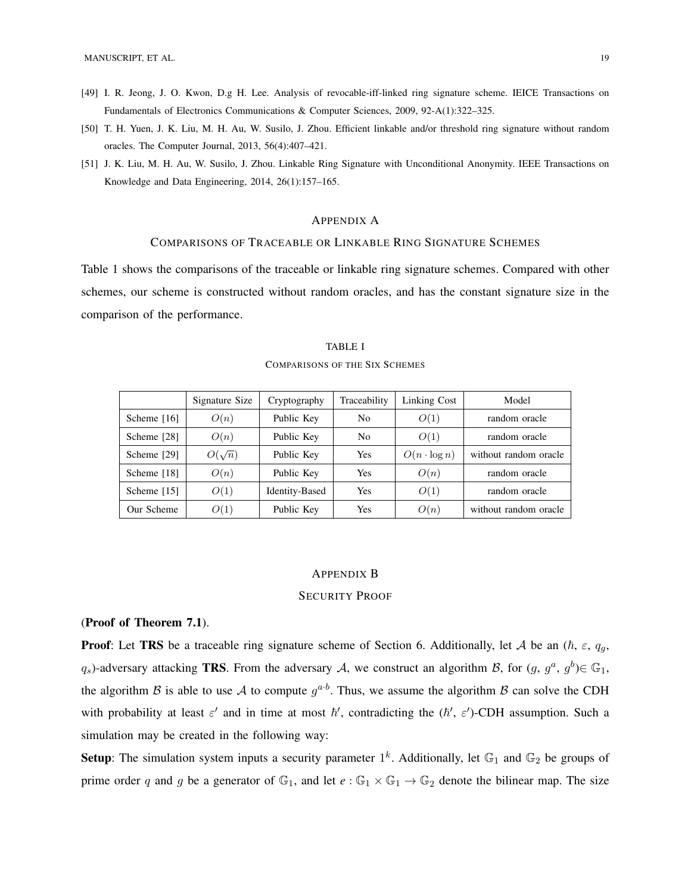- [49] I. R. Jeong, J. O. Kwon, D.g H. Lee. Analysis of revocable-iff-linked ring signature scheme. IEICE Transactions on Fundamentals of Electronics Communications & Computer Sciences, 2009, 92-A(1):322–325.
- [50] T. H. Yuen, J. K. Liu, M. H. Au, W. Susilo, J. Zhou. Efficient linkable and/or threshold ring signature without random oracles. The Computer Journal, 2013, 56(4):407–421.
- [51] J. K. Liu, M. H. Au, W. Susilo, J. Zhou. Linkable Ring Signature with Unconditional Anonymity. IEEE Transactions on Knowledge and Data Engineering, 2014, 26(1):157–165.

#### APPENDIX A

## COMPARISONS OF TRACEABLE OR LINKABLE RING SIGNATURE SCHEMES

Table 1 shows the comparisons of the traceable or linkable ring signature schemes. Compared with other schemes, our scheme is constructed without random oracles, and has the constant signature size in the comparison of the performance.

|             | Signature Size | Cryptography   | Traceability   | Linking Cost        | Model                 |
|-------------|----------------|----------------|----------------|---------------------|-----------------------|
| Scheme [16] | O(n)           | Public Key     | N <sub>0</sub> | O(1)                | random oracle         |
| Scheme [28] | O(n)           | Public Key     | N <sub>0</sub> | O(1)                | random oracle         |
| Scheme [29] | $O(\sqrt{n})$  | Public Key     | <b>Yes</b>     | $O(n \cdot \log n)$ | without random oracle |
| Scheme [18] | O(n)           | Public Key     | <b>Yes</b>     | O(n)                | random oracle         |
| Scheme [15] | O(1)           | Identity-Based | <b>Yes</b>     | O(1)                | random oracle         |
| Our Scheme  | O(1)           | Public Key     | Yes            | O(n)                | without random oracle |

# TABLE I

#### COMPARISONS OF THE SIX SCHEMES

## APPENDIX B

## SECURITY PROOF

## (Proof of Theorem 7.1).

**Proof:** Let TRS be a traceable ring signature scheme of Section 6. Additionally, let A be an  $(\hbar, \varepsilon, q_g, \varepsilon)$  $q_s$ )-adversary attacking **TRS**. From the adversary A, we construct an algorithm B, for  $(g, g^a, g^b) \in \mathbb{G}_1$ , the algorithm B is able to use A to compute  $g^{a \cdot b}$ . Thus, we assume the algorithm B can solve the CDH with probability at least  $\varepsilon'$  and in time at most  $\hbar'$ , contradicting the  $(\hbar', \varepsilon')$ -CDH assumption. Such a simulation may be created in the following way:

**Setup**: The simulation system inputs a security parameter  $1^k$ . Additionally, let  $\mathbb{G}_1$  and  $\mathbb{G}_2$  be groups of prime order q and g be a generator of  $\mathbb{G}_1$ , and let  $e : \mathbb{G}_1 \times \mathbb{G}_1 \to \mathbb{G}_2$  denote the bilinear map. The size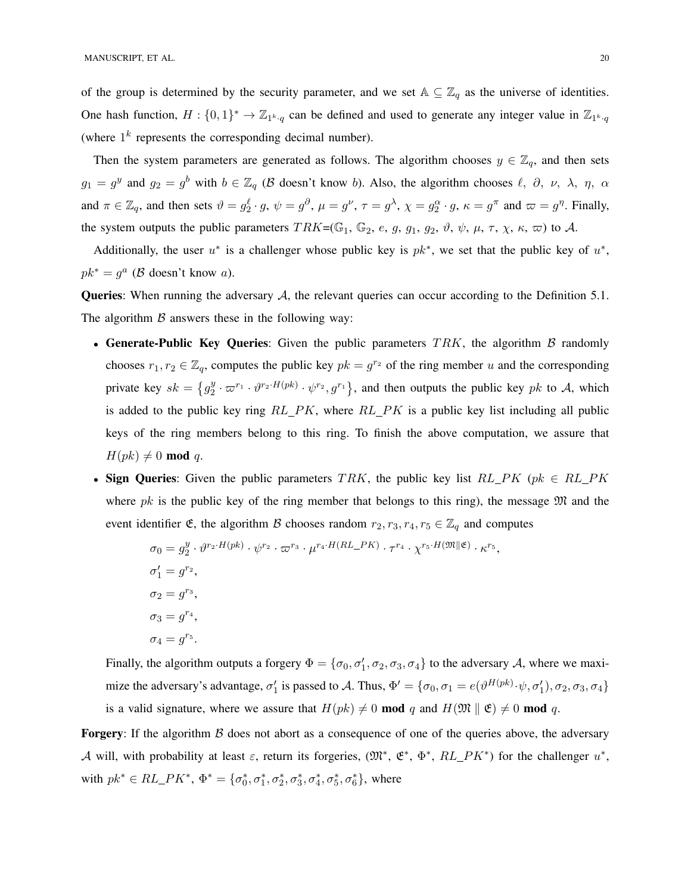of the group is determined by the security parameter, and we set  $A \subseteq \mathbb{Z}_q$  as the universe of identities. One hash function,  $H: \{0,1\}^* \to \mathbb{Z}_{1^k \cdot q}$  can be defined and used to generate any integer value in  $\mathbb{Z}_{1^k \cdot q}$ (where  $1^k$  represents the corresponding decimal number).

Then the system parameters are generated as follows. The algorithm chooses  $y \in \mathbb{Z}_q$ , and then sets  $g_1 = g^y$  and  $g_2 = g^b$  with  $b \in \mathbb{Z}_q$  ( $\beta$  doesn't know b). Also, the algorithm chooses  $\ell$ ,  $\partial$ ,  $\nu$ ,  $\lambda$ ,  $\eta$ ,  $\alpha$ and  $\pi \in \mathbb{Z}_q$ , and then sets  $\vartheta = g_2^{\ell} \cdot g$ ,  $\psi = g^{\partial}$ ,  $\mu = g^{\nu}$ ,  $\tau = g^{\lambda}$ ,  $\chi = g_2^{\alpha} \cdot g$ ,  $\kappa = g^{\pi}$  and  $\varpi = g^{\eta}$ . Finally, the system outputs the public parameters  $TRK=(\mathbb{G}_1, \mathbb{G}_2, e, g, g_1, g_2, \vartheta, \psi, \mu, \tau, \chi, \kappa, \varpi)$  to A.

Additionally, the user  $u^*$  is a challenger whose public key is  $pk^*$ , we set that the public key of  $u^*$ ,  $pk^* = g^a$  ( $\beta$  doesn't know a).

**Queries:** When running the adversary  $A$ , the relevant queries can occur according to the Definition 5.1. The algorithm  $\beta$  answers these in the following way:

- Generate-Public Key Queries: Given the public parameters  $TRK$ , the algorithm  $\beta$  randomly chooses  $r_1, r_2 \in \mathbb{Z}_q$ , computes the public key  $pk = g^{r_2}$  of the ring member u and the corresponding private key  $sk = \{g_2^y\}$  $\frac{y}{2} \cdot \varpi^{r_1} \cdot \vartheta^{r_2 \cdot H(pk)} \cdot \psi^{r_2}, g^{r_1}$ , and then outputs the public key pk to A, which is added to the public key ring  $RL$   $PK$ , where  $RL$   $PK$  is a public key list including all public keys of the ring members belong to this ring. To finish the above computation, we assure that  $H(pk) \neq 0 \text{ mod } q.$
- Sign Queries: Given the public parameters TRK, the public key list  $RL\_PK$  (pk  $\in RL\_PK$ where pk is the public key of the ring member that belongs to this ring), the message  $\mathfrak{M}$  and the event identifier  $\mathfrak{E}$ , the algorithm  $\mathcal B$  chooses random  $r_2, r_3, r_4, r_5 \in \mathbb{Z}_q$  and computes

$$
\sigma_0 = g_2^y \cdot \vartheta^{r_2 \cdot H(pk)} \cdot \psi^{r_2} \cdot \varpi^{r_3} \cdot \mu^{r_4 \cdot H(RL\_PK)} \cdot \tau^{r_4} \cdot \chi^{r_5 \cdot H(\mathfrak{M} \parallel \mathfrak{E})} \cdot \kappa^{r_5},
$$
  
\n
$$
\sigma_1' = g^{r_2},
$$
  
\n
$$
\sigma_2 = g^{r_3},
$$
  
\n
$$
\sigma_3 = g^{r_4},
$$
  
\n
$$
\sigma_4 = g^{r_5}.
$$

Finally, the algorithm outputs a forgery  $\Phi = \{\sigma_0, \sigma'_1, \sigma_2, \sigma_3, \sigma_4\}$  to the adversary A, where we maximize the adversary's advantage,  $\sigma'_1$  is passed to A. Thus,  $\Phi' = \{\sigma_0, \sigma_1 = e(\vartheta^{H(pk)} \cdot \psi, \sigma'_1), \sigma_2, \sigma_3, \sigma_4\}$ is a valid signature, where we assure that  $H(pk) \neq 0 \text{ mod } q$  and  $H(\mathfrak{M} \parallel \mathfrak{E}) \neq 0 \text{ mod } q$ .

**Forgery:** If the algorithm  $\beta$  does not abort as a consequence of one of the queries above, the adversary A will, with probability at least  $\varepsilon$ , return its forgeries,  $(\mathfrak{M}^*, \mathfrak{E}^*, \Phi^*, RL\_PK^*)$  for the challenger  $u^*,$ with  $pk^* \in RL\_PK^*$ ,  $\Phi^* = {\sigma_0^*, \sigma_1^*, \sigma_2^*, \sigma_3^*, \sigma_4^*, \sigma_5^*, \sigma_6^*}$ , where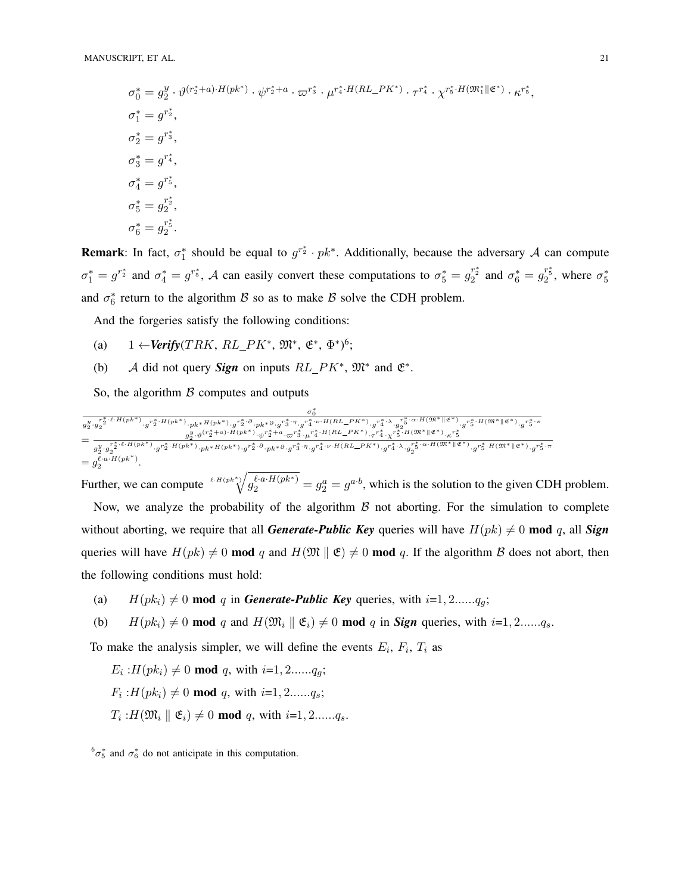$$
\sigma_0^* = g_2^y \cdot \vartheta^{(r_2^* + a) \cdot H(pk^*)} \cdot \psi^{r_2^* + a} \cdot \varpi^{r_3^*} \cdot \mu^{r_4^* \cdot H(RL\_PK^*)} \cdot \tau^{r_4^*} \cdot \chi^{r_5^* \cdot H(\mathfrak{M}_1^* \| \mathfrak{E}^*)} \cdot \kappa^{r_5^*},
$$
  
\n
$$
\sigma_1^* = g^{r_2^*},
$$
  
\n
$$
\sigma_2^* = g^{r_3^*},
$$
  
\n
$$
\sigma_3^* = g^{r_4^*},
$$
  
\n
$$
\sigma_4^* = g^{r_5^*},
$$
  
\n
$$
\sigma_5^* = g_2^{r_2^*},
$$
  
\n
$$
\sigma_6^* = g_2^{r_5^*}.
$$

**Remark**: In fact,  $\sigma_1^*$  should be equal to  $g^{r_2^*} \cdot pk^*$ . Additionally, because the adversary A can compute  $\sigma_1^* = g^{r_2^*}$  and  $\sigma_4^* = g^{r_5^*}$ , A can easily convert these computations to  $\sigma_5^* = g_2^{r_2^*}$  and  $\sigma_6^* = g_2^{r_5^*}$ , where  $\sigma_5^*$ and  $\sigma_6^*$  return to the algorithm  $\beta$  so as to make  $\beta$  solve the CDH problem.

And the forgeries satisfy the following conditions:

- (a) 1 ← *Verify*(*TRK*, *RL*\_*PK*<sup>\*</sup>,  $\mathfrak{M}^*$ ,  $\mathfrak{E}^*$ ,  $\Phi^*$ <sup>6</sup>;
- (b) A did not query **Sign** on inputs  $RL\_PK^*$ ,  $\mathfrak{M}^*$  and  $\mathfrak{E}^*$ .

So, the algorithm  $\beta$  computes and outputs

$$
\begin{aligned} &\frac{\sigma_0^*}{g_2^{y} \cdot g_2^{-s} \cdot ^{\ell \cdot H\left(pk^*\right)} \cdot g^{r_2^* \cdot H\left(pk^*\right)} \cdot p k^* H\left(pk^*\right) \cdot g^{r_2^* \cdot \partial} \cdot p k^* \partial \cdot g^{r_3^* \cdot \eta} \cdot g^{r_4^* \cdot \nu \cdot H\left(RL\_PK^*\right)} \cdot g^{r_4^* \cdot \lambda} \cdot g_2^{r_5^* \cdot \alpha \cdot H\left(\mathfrak{M}^*\right \Vert \mathfrak{E}^*)} \cdot g^{r_5^* \cdot H\left(\mathfrak{M}^*\right \Vert \mathfrak{E}^*)} \cdot g^{r_5^* \cdot H\left(\mathfrak{M}^*\right \Vert \mathfrak{E}^*)} \cdot g^{r_5^* \cdot H\left(\mathfrak{M}^*\right \Vert \mathfrak{E}^*)} \cdot g^{r_5^* \cdot H\left(\mathfrak{M}^*\right \Vert \mathfrak{E}^*)} \cdot g^{r_5^* \cdot H\left(\mathfrak{M}^*\right \Vert \mathfrak{E}^*)} \cdot g^{r_5^* \cdot H\left(\mathfrak{M}^*\right \Vert \mathfrak{E}^*)} \cdot g^{r_5^* \cdot H\left(\mathfrak{M}^*\right \Vert \mathfrak{E}^*)} \cdot g^{r_5^* \cdot H\left(\mathfrak{M}^*\right) \cdot g^{r_5^* \cdot H\left(\mathfrak{M}^*\right)} \cdot g^{r_5^* \cdot H\left(\mathfrak{M}^*\right)} \cdot g^{r_5^* \cdot H\left(\mathfrak{M}^*\right)} \cdot g^{r_5^* \cdot H\left(\mathfrak{M}^*\right)} \cdot g^{r_5^* \cdot H\left(\mathfrak{M}^*\right) \cdot g^{r_5^* \cdot H\left(\mathfrak{M}^*\right)} \cdot g^{r_5^* \cdot H\left(\mathfrak{M}^*\right)} \cdot g^{r_5^* \cdot H\left(\mathfrak{M}^*\right) \cdot g^{r_5^* \cdot H\left(\mathfrak{M}^*\right)} \cdot g^{r_5^* \cdot H\left(\mathfrak{M}^*\right) \cdot g^{r_5^* \cdot H\left(\mathfrak{M}^*\right)} \cdot g^{r_5^* \
$$

∗

Further, we can compute  $\sqrt[\ell]{u^{(a)}\cdot H(pk^*)} = g_2^a = g^{a \cdot b}$ , which is the solution to the given CDH problem. Now, we analyze the probability of the algorithm  $\beta$  not aborting. For the simulation to complete without aborting, we require that all *Generate-Public Key* queries will have  $H(pk) \neq 0$  mod q, all *Sign* queries will have  $H(pk) \neq 0$  mod q and  $H(\mathfrak{M} \parallel \mathfrak{E}) \neq 0$  mod q. If the algorithm B does not abort, then the following conditions must hold:

(a)  $H(pk_i) \neq 0 \text{ mod } q$  in *Generate-Public Key* queries, with  $i=1, 2, ..., q_q$ ;

(b) 
$$
H(pk_i) \neq 0 \text{ mod } q
$$
 and  $H(\mathfrak{M}_i \parallel \mathfrak{E}_i) \neq 0 \text{ mod } q$  in *Sign* queries, with  $i=1,2,\ldots,q_s$ .

To make the analysis simpler, we will define the events  $E_i$ ,  $F_i$ ,  $T_i$  as

$$
E_i
$$
: $H(pk_i) \neq 0 \text{ mod } q$ , with  $i=1,2, \ldots, q_g$ ;

 $F_i$ : $H(pk_i) \neq 0 \text{ mod } q$ , with  $i=1, 2, ..., q_s$ ;

 $T_i$ : $H(\mathfrak{M}_i \parallel \mathfrak{E}_i) \neq 0$  mod q, with  $i=1, 2, \ldots, q_s$ .

 ${}^6\sigma_5^*$  and  $\sigma_6^*$  do not anticipate in this computation.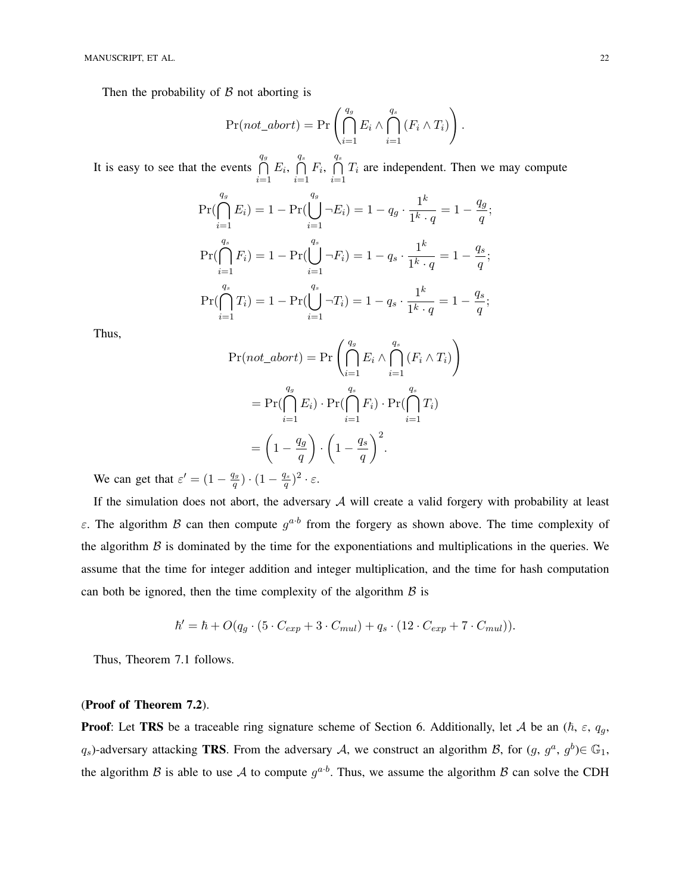Then the probability of  $\beta$  not aborting is

$$
Pr(not\_abort) = Pr\left(\bigcap_{i=1}^{q_g} E_i \wedge \bigcap_{i=1}^{q_s} (F_i \wedge T_i)\right).
$$

It is easy to see that the events  $\bigcap$  $q_g$  $i=1$  $E_i, \bigcap$  $q_s$  $i=1$  $F_i, \ \bigcap$  $q_{s}$  $i=1$  $T_i$  are independent. Then we may compute

$$
\Pr(\bigcap_{i=1}^{q_g} E_i) = 1 - \Pr(\bigcup_{i=1}^{q_g} \neg E_i) = 1 - q_g \cdot \frac{1^k}{1^k \cdot q} = 1 - \frac{q_g}{q};
$$
  
\n
$$
\Pr(\bigcap_{i=1}^{q_s} F_i) = 1 - \Pr(\bigcup_{i=1}^{q_s} \neg F_i) = 1 - q_s \cdot \frac{1^k}{1^k \cdot q} = 1 - \frac{q_s}{q};
$$
  
\n
$$
\Pr(\bigcap_{i=1}^{q_s} T_i) = 1 - \Pr(\bigcup_{i=1}^{q_s} \neg T_i) = 1 - q_s \cdot \frac{1^k}{1^k \cdot q} = 1 - \frac{q_s}{q};
$$

Thus,

$$
\Pr(not\_abort) = \Pr\left(\bigcap_{i=1}^{q_g} E_i \wedge \bigcap_{i=1}^{q_s} (F_i \wedge T_i)\right)
$$

$$
= \Pr(\bigcap_{i=1}^{q_g} E_i) \cdot \Pr(\bigcap_{i=1}^{q_s} F_i) \cdot \Pr(\bigcap_{i=1}^{q_s} T_i)
$$

$$
= \left(1 - \frac{q_g}{q}\right) \cdot \left(1 - \frac{q_s}{q}\right)^2.
$$

We can get that  $\varepsilon' = (1 - \frac{q_g}{q_g})$  $\frac{q_g}{q}$ )  $\cdot$   $(1-\frac{q_s}{q})$  $\frac{q_s}{q})^2\cdot\varepsilon.$ 

If the simulation does not abort, the adversary  $A$  will create a valid forgery with probability at least ε. The algorithm B can then compute  $g^{a \cdot b}$  from the forgery as shown above. The time complexity of the algorithm  $\beta$  is dominated by the time for the exponentiations and multiplications in the queries. We assume that the time for integer addition and integer multiplication, and the time for hash computation can both be ignored, then the time complexity of the algorithm  $\beta$  is

$$
\hbar' = \hbar + O(q_g \cdot (5 \cdot C_{exp} + 3 \cdot C_{mul}) + q_s \cdot (12 \cdot C_{exp} + 7 \cdot C_{mul})).
$$

Thus, Theorem 7.1 follows.

## (Proof of Theorem 7.2).

**Proof:** Let TRS be a traceable ring signature scheme of Section 6. Additionally, let A be an  $(\hbar, \varepsilon, q_g, \varepsilon)$  $q_s$ )-adversary attacking **TRS**. From the adversary A, we construct an algorithm B, for  $(g, g^a, g^b) \in \mathbb{G}_1$ , the algorithm B is able to use A to compute  $g^{a \cdot b}$ . Thus, we assume the algorithm B can solve the CDH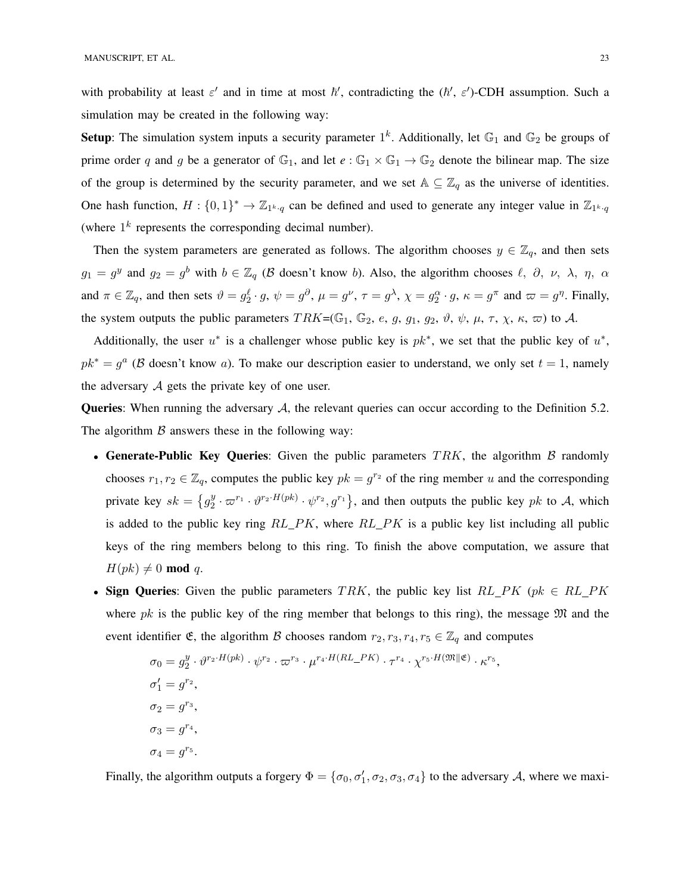with probability at least  $\varepsilon'$  and in time at most  $\hbar'$ , contradicting the  $(\hbar', \varepsilon')$ -CDH assumption. Such a simulation may be created in the following way:

**Setup**: The simulation system inputs a security parameter  $1^k$ . Additionally, let  $\mathbb{G}_1$  and  $\mathbb{G}_2$  be groups of prime order q and g be a generator of  $\mathbb{G}_1$ , and let  $e : \mathbb{G}_1 \times \mathbb{G}_1 \to \mathbb{G}_2$  denote the bilinear map. The size of the group is determined by the security parameter, and we set  $A \subseteq \mathbb{Z}_q$  as the universe of identities. One hash function,  $H: \{0,1\}^* \to \mathbb{Z}_{1^k \cdot q}$  can be defined and used to generate any integer value in  $\mathbb{Z}_{1^k \cdot q}$ (where  $1^k$  represents the corresponding decimal number).

Then the system parameters are generated as follows. The algorithm chooses  $y \in \mathbb{Z}_q$ , and then sets  $g_1 = g^y$  and  $g_2 = g^b$  with  $b \in \mathbb{Z}_q$  ( $\beta$  doesn't know b). Also, the algorithm chooses  $\ell$ ,  $\partial$ ,  $\nu$ ,  $\lambda$ ,  $\eta$ ,  $\alpha$ and  $\pi \in \mathbb{Z}_q$ , and then sets  $\vartheta = g_2^{\ell} \cdot g$ ,  $\psi = g^{\partial}$ ,  $\mu = g^{\nu}$ ,  $\tau = g^{\lambda}$ ,  $\chi = g_2^{\alpha} \cdot g$ ,  $\kappa = g^{\pi}$  and  $\varpi = g^{\eta}$ . Finally, the system outputs the public parameters  $TRK=(\mathbb{G}_1, \mathbb{G}_2, e, g, g_1, g_2, \vartheta, \psi, \mu, \tau, \chi, \kappa, \varpi)$  to A.

Additionally, the user  $u^*$  is a challenger whose public key is  $pk^*$ , we set that the public key of  $u^*$ ,  $pk^* = g^a$  ( $\beta$  doesn't know a). To make our description easier to understand, we only set  $t = 1$ , namely the adversary  $A$  gets the private key of one user.

Queries: When running the adversary A, the relevant queries can occur according to the Definition 5.2. The algorithm  $\beta$  answers these in the following way:

- Generate-Public Key Queries: Given the public parameters  $TRK$ , the algorithm  $\beta$  randomly chooses  $r_1, r_2 \in \mathbb{Z}_q$ , computes the public key  $pk = g^{r_2}$  of the ring member u and the corresponding private key  $sk = \{g_2^y\}$  $\frac{y}{2} \cdot \varpi^{r_1} \cdot \vartheta^{r_2 \cdot H(pk)} \cdot \psi^{r_2}, g^{r_1}$ , and then outputs the public key pk to A, which is added to the public key ring  $RL$   $PK$ , where  $RL$   $PK$  is a public key list including all public keys of the ring members belong to this ring. To finish the above computation, we assure that  $H(pk) \neq 0 \mod q$ .
- Sign Queries: Given the public parameters TRK, the public key list  $RL\_PK$  (pk  $\in RL\_PK$ where pk is the public key of the ring member that belongs to this ring), the message  $\mathfrak{M}$  and the event identifier  $\mathfrak{E}$ , the algorithm  $\mathcal B$  chooses random  $r_2, r_3, r_4, r_5 \in \mathbb{Z}_q$  and computes

$$
\sigma_0 = g_2^y \cdot \vartheta^{r_2 \cdot H(pk)} \cdot \psi^{r_2} \cdot \varpi^{r_3} \cdot \mu^{r_4 \cdot H(RL\_PK)} \cdot \tau^{r_4} \cdot \chi^{r_5 \cdot H(\mathfrak{M} \parallel \mathfrak{E})} \cdot \kappa^{r_5},
$$
  
\n
$$
\sigma_1' = g^{r_2},
$$
  
\n
$$
\sigma_2 = g^{r_3},
$$
  
\n
$$
\sigma_3 = g^{r_4},
$$
  
\n
$$
\sigma_4 = g^{r_5}.
$$

Finally, the algorithm outputs a forgery  $\Phi = \{\sigma_0, \sigma'_1, \sigma_2, \sigma_3, \sigma_4\}$  to the adversary A, where we maxi-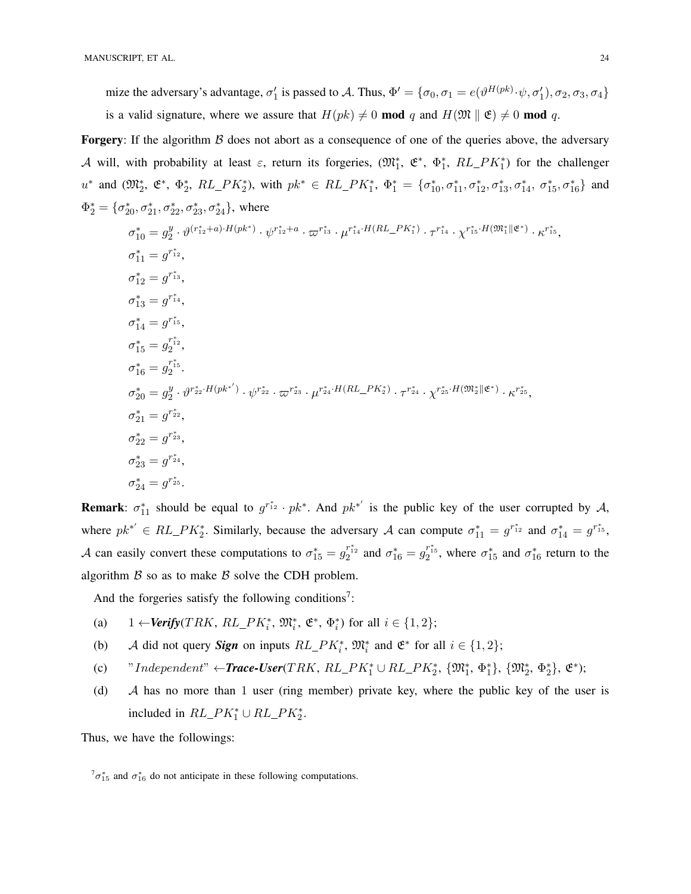mize the adversary's advantage,  $\sigma'_1$  is passed to A. Thus,  $\Phi' = \{\sigma_0, \sigma_1 = e(\vartheta^{H(pk)} \cdot \psi, \sigma'_1), \sigma_2, \sigma_3, \sigma_4\}$ is a valid signature, where we assure that  $H(pk) \neq 0 \text{ mod } q$  and  $H(\mathfrak{M} \parallel \mathfrak{E}) \neq 0 \text{ mod } q$ .

**Forgery:** If the algorithm  $\beta$  does not abort as a consequence of one of the queries above, the adversary A will, with probability at least  $\varepsilon$ , return its forgeries,  $(\mathfrak{M}_1^*, \mathfrak{E}^*, \Phi_1^*, RL\_PK_1^*)$  for the challenger  $u^*$  and  $(\mathfrak{M}_2^*, \mathfrak{E}^*, \Phi_2^*, RL\_PK_2^*),$  with  $pk^* \in RL\_PK_1^*, \Phi_1^* = {\sigma_{10}^*, \sigma_{11}^*, \sigma_{12}^*, \sigma_{13}^*, \sigma_{14}^*, \sigma_{15}^*, \sigma_{16}^*}$  and  $\Phi_2^* = {\sigma_{20}^*, \sigma_{21}^*, \sigma_{22}^*, \sigma_{23}^*, \sigma_{24}^*}$ , where

$$
\sigma_{10}^{*} = g_2^y \cdot \vartheta^{(r_{12}^{*}+a) \cdot H(pk^{*})} \cdot \psi^{r_{12}^{*}+a} \cdot \varpi^{r_{13}^{*}} \cdot \mu^{r_{14}^{*} \cdot H(RL_{-}PK_{1}^{*})} \cdot \tau^{r_{14}^{*}} \cdot \chi^{r_{15}^{*} \cdot H(\mathfrak{M}_{1}^{*} \| \mathfrak{E}^{*})} \cdot \kappa^{r_{15}^{*}},
$$
\n
$$
\sigma_{11}^{*} = g^{r_{12}^{*}},
$$
\n
$$
\sigma_{12}^{*} = g^{r_{14}^{*}},
$$
\n
$$
\sigma_{13}^{*} = g^{r_{14}^{*}},
$$
\n
$$
\sigma_{14}^{*} = g^{r_{15}^{*}},
$$
\n
$$
\sigma_{16}^{*} = g_2^{r_{12}^{*}},
$$
\n
$$
\sigma_{16}^{*} = g_2^{r_{12}^{*}},
$$
\n
$$
\sigma_{20}^{*} = g_2^y \cdot \vartheta^{r_{22}^{*} \cdot H(pk^{*'})} \cdot \psi^{r_{22}^{*}} \cdot \varpi^{r_{23}^{*}} \cdot \mu^{r_{24}^{*} \cdot H(RL_{-}PK_{2}^{*})} \cdot \tau^{r_{24}^{*}} \cdot \chi^{r_{25}^{*} \cdot H(\mathfrak{M}_{2}^{*} \| \mathfrak{E}^{*})} \cdot \kappa^{r_{25}^{*}},
$$
\n
$$
\sigma_{21}^{*} = g^{r_{22}^{*}},
$$
\n
$$
\sigma_{22}^{*} = g^{r_{23}^{*}},
$$
\n
$$
\sigma_{23}^{*} = g^{r_{24}^{*}},
$$
\n
$$
\sigma_{24}^{*} = g^{r_{25}^{*}}.
$$

**Remark**:  $\sigma_{11}^*$  should be equal to  $g^{r_{12}^*} \cdot pk^*$ . And  $pk^{*'}$  is the public key of the user corrupted by A, where  $pk^{*'} \in RL\_PK_2^*$ . Similarly, because the adversary A can compute  $\sigma_{11}^* = g^{r_{12}^*}$  and  $\sigma_{14}^* = g^{r_{15}^*}$ , A can easily convert these computations to  $\sigma_{15}^* = g_2^{r_{12}^*}$  and  $\sigma_{16}^* = g_2^{r_{15}^*}$ , where  $\sigma_{15}^*$  and  $\sigma_{16}^*$  return to the algorithm  $\beta$  so as to make  $\beta$  solve the CDH problem.

And the forgeries satisfy the following conditions<sup>7</sup>:

- (a)  $1 \leftarrow \text{Verify}(TRK, RL\_PK_i^*, \mathfrak{M}_i^*, \mathfrak{E}^*, \Phi_i^*)$  for all  $i \in \{1, 2\};$
- (b) A did not query **Sign** on inputs  $RL\_PK_i^*$ ,  $\mathfrak{M}_i^*$  and  $\mathfrak{E}^*$  for all  $i \in \{1, 2\}$ ;
- (c) "Independent"  $\leftarrow$ **Trace-User**(TRK, RL\_PK<sup>\*</sup><sub>1</sub></sub>  $\cup$  RL\_PK<sup>\*</sup><sub>2</sub>, { $\mathfrak{M}^*_1$ ,  $\Phi^*_1$ }, { $\mathfrak{M}^*_2$ ,  $\Phi^*_2$ },  $\mathfrak{E}^*$ );
- (d) A has no more than 1 user (ring member) private key, where the public key of the user is included in  $RL\_PK_1^* \cup RL\_PK_2^*$ .

Thus, we have the followings:

 ${}^{7}\sigma_{15}^{*}$  and  $\sigma_{16}^{*}$  do not anticipate in these following computations.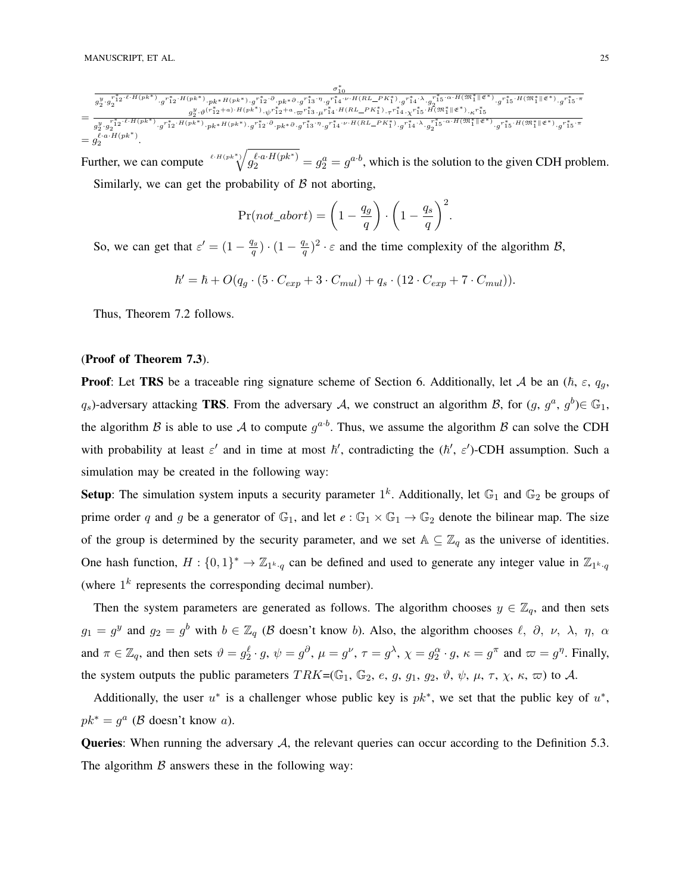$\sigma_{10}^*$  $g_{2}^{y}\cdot g_{2}^{*\overset{*}{1}{}_{2}\cdot\ell\cdot H\left(pk^{*}\right)}\cdot g_{1}^{r^{*}_{1}{}_{2}\cdot H\left(pk^{*}\right)}\cdot g_{1}^{r^{*}_{1}{}_{2}\cdot\partial}\cdot p k^{*}\partial\cdot g_{1}^{r^{*}_{1}{}_{3}\cdot\eta}\cdot g_{1}^{r^{*}_{1}{}_{4}\cdot\nu}\cdot H\left(RL_{-}P K_{1}^{*}\right)\cdot g_{1}^{r^{*}_{1}{}_{4}\cdot\lambda}\cdot g_{2}^{r^{*}_{1}{}_{3}\cdot\alpha\cdot H\left(\mathfrak{M}^{*}_{1}\right]\left|\mathfrak{E$  $=\frac{g_2^y \cdot \vartheta^{(r_1^*+a)\cdot H(pk^*)}\cdot \psi^{r_1^*+a}\cdot \varpi^{r_1^*s}\cdot \psi^{r_1^*+H(RL_Pk_1^*)}\cdot \tau^{r_1^*s}\cdot \psi^{r_1^*s}\cdot \psi^{r_1^*s}\cdot \psi^{r_1^*s}\cdot \psi^{r_1^*s}\cdot \psi^{r_1^*s}\cdot \psi^{r_1^*s}\cdot \psi^{r_1^*s}\cdot \psi^{r_1^*s}\cdot \psi^{r_1^*s}\cdot \psi^{r_1^*s}\cdot \psi^{r_1^*s}\cdot \psi^{r_1^*s}\cdot \psi$ 

 $g_{2}^{y}\cdot g_{2}^{r_{12}^{*}\cdot \ell\cdot H(pk^{*})}\cdot g^{r_{12}^{*}\cdot H(pk^{*})}\cdot g^{r_{12}^{*}\cdot \partial}\cdot pk^{*}\partial\cdot g^{r_{13}^{*}\cdot \eta}\cdot g^{r_{14}^{*}\cdot \nu\cdot H(RL\_PK_{1}^{*})}\cdot g^{r_{14}^{*}\cdot \lambda}\cdot g_{2}^{r_{2}^{*}+5}\cdot \alpha\cdot H(\mathfrak{M}_{1}^{*}\|\mathfrak{E}^{*})}\cdot g^{r_{15}^{*}\cdot H(\mathfrak{M}_{1}^{*}\|\mathfrak{E}^{*})}\cdot g^{r_{15$  $=g_2^{\ell \cdot a \cdot H(pk^*)}.$ 

Further, we can compute  $\sqrt[\ell]{u^{(a)}\cdot H(pk^*)} = g_2^a = g^{a \cdot b}$ , which is the solution to the given CDH problem.

Similarly, we can get the probability of  $\beta$  not aborting,

$$
Pr(not\_abort) = \left(1 - \frac{q_g}{q}\right) \cdot \left(1 - \frac{q_s}{q}\right)^2.
$$

So, we can get that  $\varepsilon' = (1 - \frac{q_g}{q})$  $\frac{q_g}{q}$ )  $\cdot$   $(1-\frac{q_s}{q})$  $\frac{q}{q}$ )<sup>2</sup> ·  $\varepsilon$  and the time complexity of the algorithm B,

$$
\hbar' = \hbar + O(q_g \cdot (5 \cdot C_{exp} + 3 \cdot C_{mul}) + q_s \cdot (12 \cdot C_{exp} + 7 \cdot C_{mul})).
$$

Thus, Theorem 7.2 follows.

## (Proof of Theorem 7.3).

**Proof:** Let TRS be a traceable ring signature scheme of Section 6. Additionally, let A be an  $(\hbar, \varepsilon, q_q, \varepsilon)$  $q_s$ )-adversary attacking **TRS**. From the adversary A, we construct an algorithm B, for  $(g, g^a, g^b) \in \mathbb{G}_1$ , the algorithm B is able to use A to compute  $g^{a \cdot b}$ . Thus, we assume the algorithm B can solve the CDH with probability at least  $\varepsilon'$  and in time at most  $\hbar'$ , contradicting the  $(\hbar', \varepsilon')$ -CDH assumption. Such a simulation may be created in the following way:

**Setup**: The simulation system inputs a security parameter  $1^k$ . Additionally, let  $\mathbb{G}_1$  and  $\mathbb{G}_2$  be groups of prime order q and g be a generator of  $\mathbb{G}_1$ , and let  $e : \mathbb{G}_1 \times \mathbb{G}_1 \to \mathbb{G}_2$  denote the bilinear map. The size of the group is determined by the security parameter, and we set  $A \subseteq \mathbb{Z}_q$  as the universe of identities. One hash function,  $H: \{0,1\}^* \to \mathbb{Z}_{1^k \cdot q}$  can be defined and used to generate any integer value in  $\mathbb{Z}_{1^k \cdot q}$ (where  $1^k$  represents the corresponding decimal number).

Then the system parameters are generated as follows. The algorithm chooses  $y \in \mathbb{Z}_q$ , and then sets  $g_1 = g^y$  and  $g_2 = g^b$  with  $b \in \mathbb{Z}_q$  ( $\beta$  doesn't know b). Also, the algorithm chooses  $\ell$ ,  $\partial$ ,  $\nu$ ,  $\lambda$ ,  $\eta$ ,  $\alpha$ and  $\pi \in \mathbb{Z}_q$ , and then sets  $\vartheta = g_2^{\ell} \cdot g$ ,  $\psi = g^{\partial}$ ,  $\mu = g^{\nu}$ ,  $\tau = g^{\lambda}$ ,  $\chi = g_2^{\alpha} \cdot g$ ,  $\kappa = g^{\pi}$  and  $\varpi = g^{\eta}$ . Finally, the system outputs the public parameters  $TRK=(\mathbb{G}_1, \mathbb{G}_2, e, g, g_1, g_2, \vartheta, \psi, \mu, \tau, \chi, \kappa, \varpi)$  to A.

Additionally, the user  $u^*$  is a challenger whose public key is  $pk^*$ , we set that the public key of  $u^*$ ,  $pk^* = g^a$  ( $\beta$  doesn't know a).

**Queries:** When running the adversary  $A$ , the relevant queries can occur according to the Definition 5.3. The algorithm  $\beta$  answers these in the following way: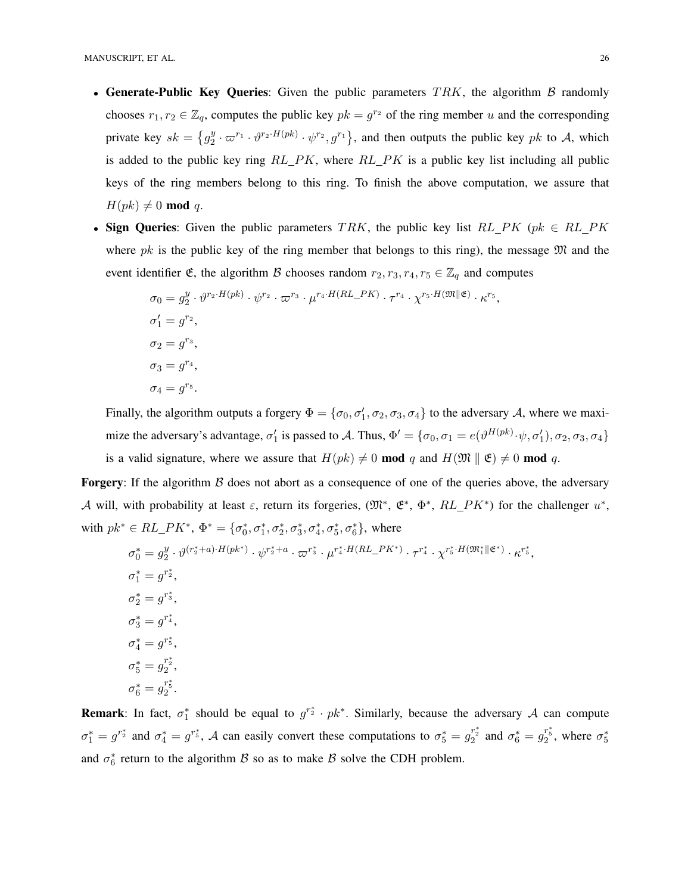- Generate-Public Key Queries: Given the public parameters  $TRK$ , the algorithm  $\beta$  randomly chooses  $r_1, r_2 \in \mathbb{Z}_q$ , computes the public key  $pk = g^{r_2}$  of the ring member u and the corresponding private key  $sk = \{g_2^y\}$  $\frac{y}{2} \cdot \varpi^{r_1} \cdot \vartheta^{r_2 \cdot H(pk)} \cdot \psi^{r_2}, g^{r_1}$ , and then outputs the public key pk to A, which is added to the public key ring  $RL\_PK$ , where  $RL\_PK$  is a public key list including all public keys of the ring members belong to this ring. To finish the above computation, we assure that  $H(pk) \neq 0 \mod q$ .
- Sign Queries: Given the public parameters TRK, the public key list  $RL\_PK$  (pk  $\in RL\_PK$ where pk is the public key of the ring member that belongs to this ring), the message  $\mathfrak{M}$  and the event identifier  $\mathfrak{E}$ , the algorithm  $\mathcal B$  chooses random  $r_2, r_3, r_4, r_5 \in \mathbb{Z}_q$  and computes

$$
\sigma_0 = g_2^y \cdot \vartheta^{r_2 \cdot H(pk)} \cdot \psi^{r_2} \cdot \varpi^{r_3} \cdot \mu^{r_4 \cdot H(RL\_PK)} \cdot \tau^{r_4} \cdot \chi^{r_5 \cdot H(\mathfrak{M} \parallel \mathfrak{E})} \cdot \kappa^{r_5},
$$
  
\n
$$
\sigma_1' = g^{r_2},
$$
  
\n
$$
\sigma_2 = g^{r_3},
$$
  
\n
$$
\sigma_3 = g^{r_4},
$$
  
\n
$$
\sigma_4 = g^{r_5}.
$$

Finally, the algorithm outputs a forgery  $\Phi = \{\sigma_0, \sigma'_1, \sigma_2, \sigma_3, \sigma_4\}$  to the adversary A, where we maximize the adversary's advantage,  $\sigma'_1$  is passed to A. Thus,  $\Phi' = \{\sigma_0, \sigma_1 = e(\vartheta^{H(pk)} \cdot \psi, \sigma'_1), \sigma_2, \sigma_3, \sigma_4\}$ is a valid signature, where we assure that  $H(pk) \neq 0 \text{ mod } q$  and  $H(\mathfrak{M} \parallel \mathfrak{E}) \neq 0 \text{ mod } q$ .

**Forgery:** If the algorithm  $\beta$  does not abort as a consequence of one of the queries above, the adversary A will, with probability at least  $\varepsilon$ , return its forgeries,  $(\mathfrak{M}^*, \mathfrak{E}^*, \Phi^*, RL\_PK^*)$  for the challenger  $u^*,$ with  $pk^* \in RL\_PK^*$ ,  $\Phi^* = {\sigma_0^*, \sigma_1^*, \sigma_2^*, \sigma_3^*, \sigma_4^*, \sigma_5^*, \sigma_6^*}$ , where

$$
\sigma_0^* = g_2^y \cdot \vartheta^{(r_2^* + a) \cdot H(pk^*)} \cdot \psi^{r_2^* + a} \cdot \varpi^{r_3^*} \cdot \mu^{r_4^* \cdot H(RL\_PK^*)} \cdot \tau^{r_4^*} \cdot \chi^{r_5^* \cdot H(\mathfrak{M}_1^* \| \mathfrak{E}^*)} \cdot \kappa^{r_5^*},
$$
  
\n
$$
\sigma_1^* = g^{r_2^*},
$$
  
\n
$$
\sigma_2^* = g^{r_3^*},
$$
  
\n
$$
\sigma_3^* = g^{r_4^*},
$$
  
\n
$$
\sigma_4^* = g^{r_5^*},
$$
  
\n
$$
\sigma_5^* = g_2^{r_2^*},
$$
  
\n
$$
\sigma_6^* = g_2^{r_5^*}.
$$

**Remark**: In fact,  $\sigma_1^*$  should be equal to  $g^{r_2^*} \cdot pk^*$ . Similarly, because the adversary A can compute  $\sigma_1^* = g^{r_2^*}$  and  $\sigma_4^* = g^{r_5^*}$ , A can easily convert these computations to  $\sigma_5^* = g_2^{r_2^*}$  and  $\sigma_6^* = g_2^{r_5^*}$ , where  $\sigma_5^*$ and  $\sigma_6^*$  return to the algorithm  $\beta$  so as to make  $\beta$  solve the CDH problem.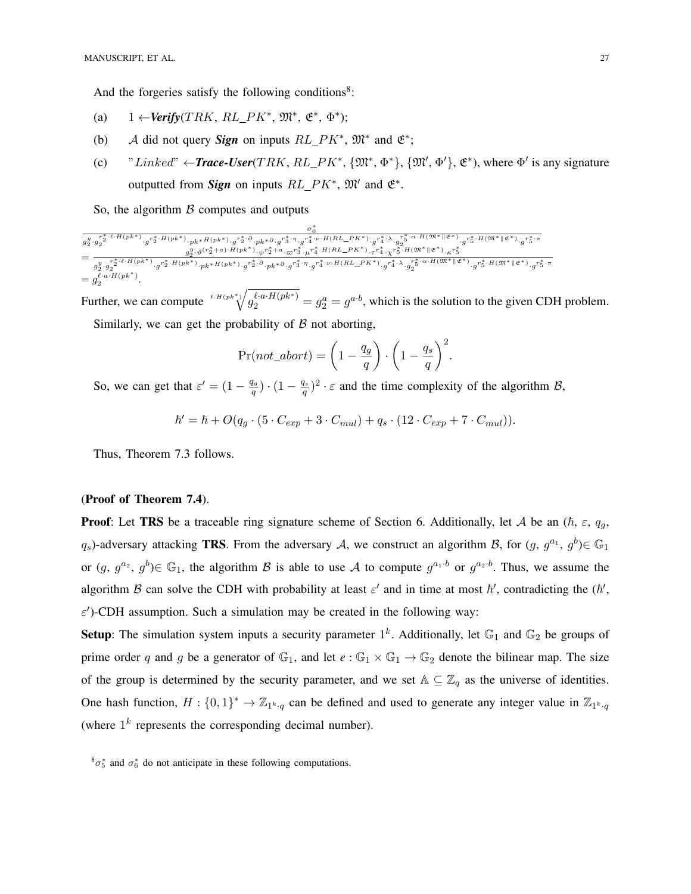And the forgeries satisfy the following conditions<sup>8</sup>:

- (a)  $1 \leftarrow \text{Verify}(TRK, RL\_PK^*, \mathfrak{M}^*, \mathfrak{E}^*, \Phi^*)$ ;
- (b) A did not query **Sign** on inputs  $RL\_PK^*$ ,  $\mathfrak{M}^*$  and  $\mathfrak{E}^*$ ;
- (c) "Linked"  $\leftarrow$ **Trace-User**(TRK, RL\_PK<sup>\*</sup>, { $\mathfrak{M}^*, \Phi^*$ }, { $\mathfrak{M}', \Phi'$ },  $\mathfrak{E}^*$ ), where  $\Phi'$  is any signature outputted from *Sign* on inputs  $RL\_PK^*$ ,  $\mathfrak{M}'$  and  $\mathfrak{E}^*$ .

So, the algorithm  $\beta$  computes and outputs

$$
\begin{aligned} &\frac{\sigma_0^*}{g_2^{y}\cdot g_2^{r_2^* \cdot \ell \cdot H\left(p k^*\right)} \cdot g^{r_2^* \cdot H\left(p k^*\right)} \cdot p k^*H\left(p k^*\right) \cdot g^{r_2^* \cdot \partial} \cdot p k^* \partial \cdot g^{r_3^* \cdot \eta} \cdot g^{r_4^* \cdot \nu \cdot H\left(R L\_PK^*\right)} \cdot g^{r_4^* \cdot \lambda} \cdot g_2^{r_5^* \cdot \alpha \cdot H\left(\mathfrak{M}^*\right| \mathfrak{E}^*)} \cdot g^{r_5^* \cdot H\left(\mathfrak{M}^*\right| \mathfrak{E}^*)} \cdot g^{r_5^* \cdot \pi} \\ =& \frac{g_2^{y} \cdot g_2^{r_2^* \cdot \ell \cdot H\left(p k^*\right)} \cdot g^{r_2^* \cdot H\left(p k^*\right)} \cdot g^{r_2^* \cdot H\left(p k^*\right)} \cdot g^{r_2^* \cdot H\left(p k^*\right)} \cdot g^{r_2^* \cdot H\cdot \alpha \cdot g^{r_3^*}} \cdot g^{r_4^* \cdot \nu \cdot H\left(R L\_PK^*\right)} \cdot r_4^{r_4} \cdot \chi^{r_5^* \cdot H\left(\mathfrak{M}^*\right| \mathfrak{E}^*)} \cdot g^{r_5^* \cdot H\left(\mathfrak{M}^*\right| \mathfrak{E}^*)} \cdot g^{r_5^* \cdot \pi} \\ =& g_2^{y} \cdot g_2^{r_2^* \cdot \ell \cdot H\left(p k^*\right)} \cdot g^{r_2^* \cdot H\left(p k^*\right)} \cdot g^{r_2^* \cdot \partial} \cdot p k^* H\left(p k^*\right) \cdot g^{r_2^* \cdot \partial} \cdot p k^* \partial \cdot g^{r_3^* \cdot \eta} \cdot g^{r_4^* \cdot \nu \cdot H\left(R L\_PK^*\right)} \cdot g^{r_4^* \cdot \lambda} \cdot g_2^{r_2^* \cdot \alpha \cdot H\left(\mathfrak{M}^*\right| \mathfrak{E}^*)} \cdot g^{r_5^* \cdot H\left(\mathfrak{M}^*\right| \mathfrak{E}^*)} \cdot g^{r_5^* \cdot \pi} \\ =& g_2^{q} \cdot a \cdot H\left(p k^*\
$$

Further, we can compute  $\sqrt[\ell]{u^{(a)}\cdot H(pk^*)} = g_2^a = g^{a \cdot b}$ , which is the solution to the given CDH problem. Similarly, we can get the probability of  $\beta$  not aborting,

$$
Pr(not\_abort) = \left(1 - \frac{q_g}{q}\right) \cdot \left(1 - \frac{q_s}{q}\right)^2.
$$

So, we can get that  $\varepsilon' = (1 - \frac{q_g}{q})$  $\frac{q_g}{q}$ )  $\cdot$   $(1-\frac{q_s}{q})$  $\frac{q}{q}$ )<sup>2</sup> ·  $\varepsilon$  and the time complexity of the algorithm B,

$$
\hbar' = \hbar + O(q_g \cdot (5 \cdot C_{exp} + 3 \cdot C_{mul}) + q_s \cdot (12 \cdot C_{exp} + 7 \cdot C_{mul})).
$$

Thus, Theorem 7.3 follows.

## (Proof of Theorem 7.4).

**Proof:** Let TRS be a traceable ring signature scheme of Section 6. Additionally, let A be an  $(\hbar, \varepsilon, q_{\alpha}, \varepsilon)$  $q_s$ )-adversary attacking **TRS**. From the adversary A, we construct an algorithm B, for  $(g, g^{a_1}, g^{b}) \in \mathbb{G}_1$ or  $(g, g^{a_2}, g^{b}) \in \mathbb{G}_1$ , the algorithm B is able to use A to compute  $g^{a_1 \cdot b}$  or  $g^{a_2 \cdot b}$ . Thus, we assume the algorithm B can solve the CDH with probability at least  $\varepsilon'$  and in time at most  $\hbar'$ , contradicting the  $(\hbar', \nabla)$  $\varepsilon'$ )-CDH assumption. Such a simulation may be created in the following way:

**Setup**: The simulation system inputs a security parameter  $1^k$ . Additionally, let  $\mathbb{G}_1$  and  $\mathbb{G}_2$  be groups of prime order q and g be a generator of  $\mathbb{G}_1$ , and let  $e : \mathbb{G}_1 \times \mathbb{G}_1 \to \mathbb{G}_2$  denote the bilinear map. The size of the group is determined by the security parameter, and we set  $A \subseteq \mathbb{Z}_q$  as the universe of identities. One hash function,  $H: \{0,1\}^* \to \mathbb{Z}_{1^k \cdot q}$  can be defined and used to generate any integer value in  $\mathbb{Z}_{1^k \cdot q}$ (where  $1^k$  represents the corresponding decimal number).

 ${}^8\sigma_5^*$  and  $\sigma_6^*$  do not anticipate in these following computations.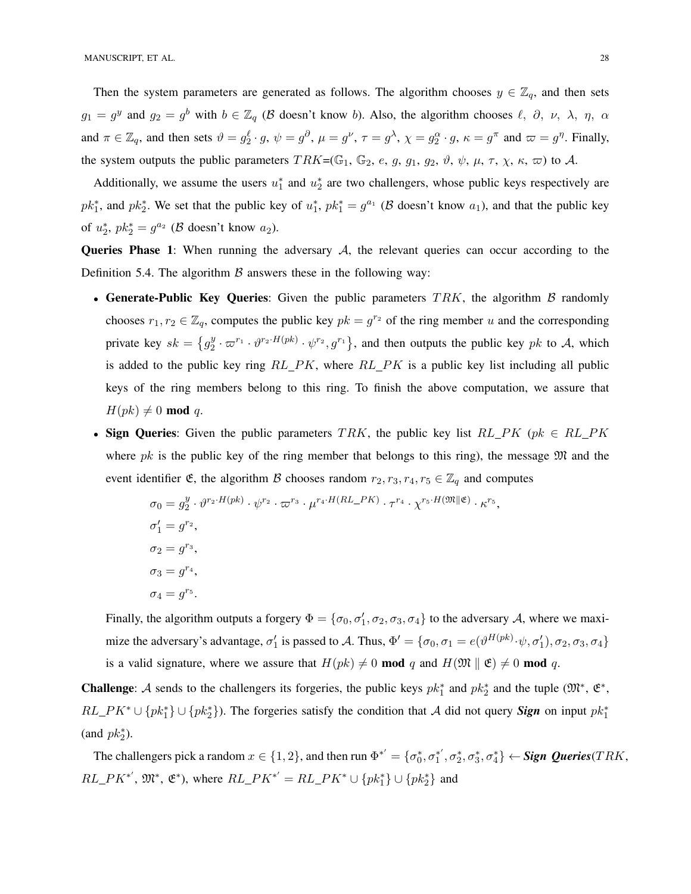Then the system parameters are generated as follows. The algorithm chooses  $y \in \mathbb{Z}_q$ , and then sets  $g_1 = g^y$  and  $g_2 = g^b$  with  $b \in \mathbb{Z}_q$  ( $\beta$  doesn't know b). Also, the algorithm chooses  $\ell$ ,  $\partial$ ,  $\nu$ ,  $\lambda$ ,  $\eta$ ,  $\alpha$ and  $\pi \in \mathbb{Z}_q$ , and then sets  $\vartheta = g_2^{\ell} \cdot g$ ,  $\psi = g^{\partial}$ ,  $\mu = g^{\nu}$ ,  $\tau = g^{\lambda}$ ,  $\chi = g_2^{\alpha} \cdot g$ ,  $\kappa = g^{\pi}$  and  $\varpi = g^{\eta}$ . Finally, the system outputs the public parameters  $TRK = (\mathbb{G}_1, \mathbb{G}_2, e, g, g_1, g_2, \vartheta, \psi, \mu, \tau, \chi, \kappa, \varpi)$  to A.

Additionally, we assume the users  $u_1^*$  and  $u_2^*$  are two challengers, whose public keys respectively are  $pk_1^*$ , and  $pk_2^*$ . We set that the public key of  $u_1^*$ ,  $pk_1^* = g^{a_1}$  ( $\beta$  doesn't know  $a_1$ ), and that the public key of  $u_2^*$ ,  $pk_2^* = g^{a_2}$  ( $\beta$  doesn't know  $a_2$ ).

**Queries Phase 1:** When running the adversary  $A$ , the relevant queries can occur according to the Definition 5.4. The algorithm  $\beta$  answers these in the following way:

- Generate-Public Key Queries: Given the public parameters  $TRK$ , the algorithm  $\beta$  randomly chooses  $r_1, r_2 \in \mathbb{Z}_q$ , computes the public key  $pk = g^{r_2}$  of the ring member u and the corresponding private key  $sk = \{g_2^y\}$  $\frac{y}{2} \cdot \varpi^{r_1} \cdot \vartheta^{r_2 \cdot H(pk)} \cdot \psi^{r_2}, g^{r_1}$ , and then outputs the public key pk to A, which is added to the public key ring  $RL\_PK$ , where  $RL\_PK$  is a public key list including all public keys of the ring members belong to this ring. To finish the above computation, we assure that  $H(pk) \neq 0 \mod q$ .
- Sign Queries: Given the public parameters TRK, the public key list  $RL\_PK$  (pk  $\in RL\_PK$ where pk is the public key of the ring member that belongs to this ring), the message  $\mathfrak{M}$  and the event identifier  $\mathfrak{E}$ , the algorithm  $\mathcal B$  chooses random  $r_2, r_3, r_4, r_5 \in \mathbb{Z}_q$  and computes

$$
\sigma_0 = g_2^y \cdot \vartheta^{r_2 \cdot H(pk)} \cdot \psi^{r_2} \cdot \varpi^{r_3} \cdot \mu^{r_4 \cdot H(RL\_PK)} \cdot \tau^{r_4} \cdot \chi^{r_5 \cdot H(\mathfrak{M} \parallel \mathfrak{E})} \cdot \kappa^{r_5},
$$
  
\n
$$
\sigma_1' = g^{r_2},
$$
  
\n
$$
\sigma_2 = g^{r_3},
$$
  
\n
$$
\sigma_3 = g^{r_4},
$$
  
\n
$$
\sigma_4 = g^{r_5}.
$$

Finally, the algorithm outputs a forgery  $\Phi = \{\sigma_0, \sigma'_1, \sigma_2, \sigma_3, \sigma_4\}$  to the adversary A, where we maximize the adversary's advantage,  $\sigma'_1$  is passed to A. Thus,  $\Phi' = \{\sigma_0, \sigma_1 = e(\vartheta^{H(pk)} \cdot \psi, \sigma'_1), \sigma_2, \sigma_3, \sigma_4\}$ is a valid signature, where we assure that  $H(pk) \neq 0 \text{ mod } q$  and  $H(\mathfrak{M} \parallel \mathfrak{E}) \neq 0 \text{ mod } q$ .

**Challenge:** A sends to the challengers its forgeries, the public keys  $pk_1^*$  and  $pk_2^*$  and the tuple  $(\mathfrak{M}^*, \mathfrak{E}^*,$  $RL\_PK^* \cup \{pk_1^*\} \cup \{pk_2^*\}$ . The forgeries satisfy the condition that A did not query **Sign** on input  $pk_1^*$  $\text{(and } pk_2^*).$ 

The challengers pick a random  $x \in \{1,2\}$ , and then run  $\Phi^{*'} = \{\sigma_0^*, \sigma_1^{*'}, \sigma_2^*, \sigma_3^*, \sigma_4^*\} \leftarrow$  **Sign Queries**(TRK,  $RL\_PK^*$ ,  $\mathfrak{M}^*, \mathfrak{E}^*$ ), where  $RL\_PK^{*'} = RL\_PK^* \cup \{pk_1^*\} \cup \{pk_2^*\}$  and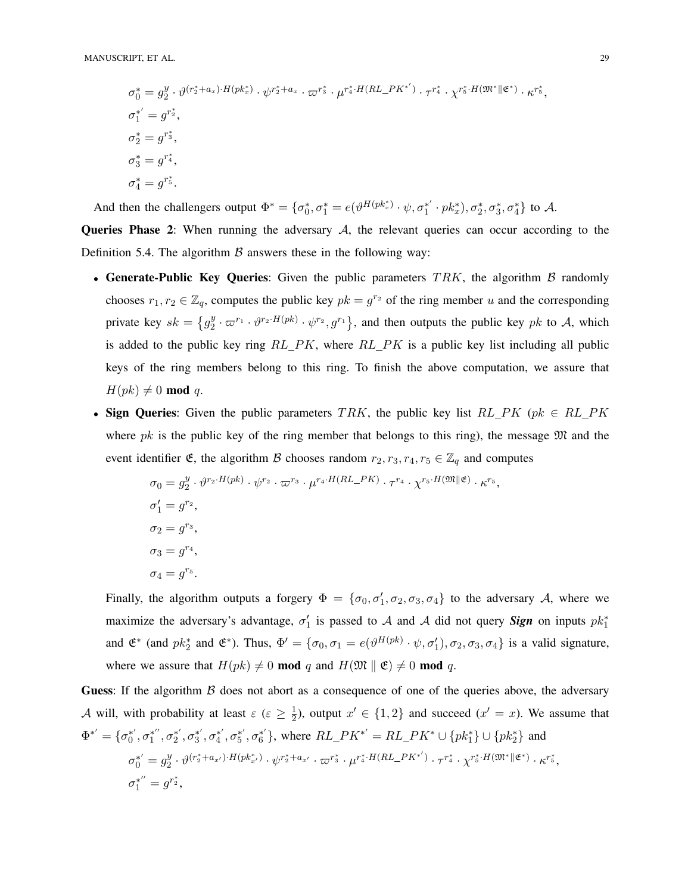$$
\sigma_0^* = g_2^y \cdot \vartheta^{(r_2^* + a_x) \cdot H(pk_x^*)} \cdot \varphi^{r_2^* + a_x} \cdot \varpi^{r_3^*} \cdot \mu^{r_4^* \cdot H(RL\_PK^{*'})} \cdot \tau^{r_4^*} \cdot \chi^{r_5^* \cdot H(\mathfrak{M}^* \| \mathfrak{E}^*)} \cdot \kappa^{r_5^*},
$$
  
\n
$$
\sigma_1^{*'} = g^{r_2^*},
$$
  
\n
$$
\sigma_2^* = g^{r_3^*},
$$
  
\n
$$
\sigma_4^* = g^{r_4^*},
$$
  
\n
$$
\sigma_4^* = g^{r_5^*}.
$$

And then the challengers output  $\Phi^* = {\sigma_0^*, \sigma_1^* = e(\vartheta^{H(pk_x^*)} \cdot \psi, \sigma_1^{*'} \cdot pk_x^*)}, \sigma_2^*, \sigma_3^*, \sigma_4^*}$  to A.

**Queries Phase 2:** When running the adversary  $A$ , the relevant queries can occur according to the Definition 5.4. The algorithm  $\beta$  answers these in the following way:

- Generate-Public Key Queries: Given the public parameters  $TRK$ , the algorithm  $\beta$  randomly chooses  $r_1, r_2 \in \mathbb{Z}_q$ , computes the public key  $pk = g^{r_2}$  of the ring member u and the corresponding private key  $sk = \{g_2^y\}$  $\frac{y}{2} \cdot \varpi^{r_1} \cdot \vartheta^{r_2 \cdot H(pk)} \cdot \psi^{r_2}, g^{r_1}$ , and then outputs the public key pk to A, which is added to the public key ring  $RL\_PK$ , where  $RL\_PK$  is a public key list including all public keys of the ring members belong to this ring. To finish the above computation, we assure that  $H(pk) \neq 0 \text{ mod } q.$
- Sign Queries: Given the public parameters TRK, the public key list  $RL\_PK$  (pk  $\in RL\_PK$ where pk is the public key of the ring member that belongs to this ring), the message  $\mathfrak{M}$  and the event identifier  $\mathfrak{E}$ , the algorithm  $\mathcal B$  chooses random  $r_2, r_3, r_4, r_5 \in \mathbb{Z}_q$  and computes

$$
\sigma_0 = g_2^y \cdot \vartheta^{r_2 \cdot H(pk)} \cdot \psi^{r_2} \cdot \varpi^{r_3} \cdot \mu^{r_4 \cdot H(RL\_PK)} \cdot \tau^{r_4} \cdot \chi^{r_5 \cdot H(\mathfrak{M} \parallel \mathfrak{E})} \cdot \kappa^{r_5},
$$
  
\n
$$
\sigma_1' = g^{r_2},
$$
  
\n
$$
\sigma_2 = g^{r_3},
$$
  
\n
$$
\sigma_3 = g^{r_4},
$$
  
\n
$$
\sigma_4 = g^{r_5}.
$$

Finally, the algorithm outputs a forgery  $\Phi = {\sigma_0, \sigma'_1, \sigma_2, \sigma_3, \sigma_4}$  to the adversary A, where we maximize the adversary's advantage,  $\sigma'_1$  is passed to A and A did not query **Sign** on inputs  $pk_1^*$ and  $\mathfrak{E}^*$  (and  $pk_2^*$  and  $\mathfrak{E}^*$ ). Thus,  $\Phi' = {\sigma_0, \sigma_1 = e(\vartheta^{H(pk)} \cdot \psi, \sigma'_1), \sigma_2, \sigma_3, \sigma_4}$  is a valid signature, where we assure that  $H(pk) \neq 0 \text{ mod } q$  and  $H(\mathfrak{M} \parallel \mathfrak{E}) \neq 0 \text{ mod } q$ .

**Guess:** If the algorithm  $\beta$  does not abort as a consequence of one of the queries above, the adversary A will, with probability at least  $\varepsilon$  ( $\varepsilon \geq \frac{1}{2}$ )  $\frac{1}{2}$ ), output  $x' \in \{1, 2\}$  and succeed  $(x' = x)$ . We assume that  $\Phi^{*'} = {\sigma_0^{*'}}, \sigma_1^{*''}, \sigma_2^{*'}, \sigma_3^{*'}, \sigma_4^{*'}, \sigma_5^{*'}, \sigma_6^{*'}\}$ , where  $RL\_PK^{*'} = RL\_PK^{*} \cup \{pk_1^{*}\} \cup \{pk_2^{*}\}\$  and  $\sigma_0^{*'} = g_2^y$  $\frac{y}{2}\cdot \vartheta^{(r_2^*+a_{x'})\cdot H(pk_{x'}^*)}\cdot \psi^{r_2^*+a_{x'}}\cdot \varpi^{r_3^*}\cdot \mu^{r_4^* \cdot H(RL\_PK^{*'})}\cdot \tau^{r_4^*}\cdot \chi^{r_5^* \cdot H(\mathfrak{M}^* \| \mathfrak{E}^*)}\cdot \kappa^{r_5^*},$  $\sigma_1^{*''}=g^{r_2^*},$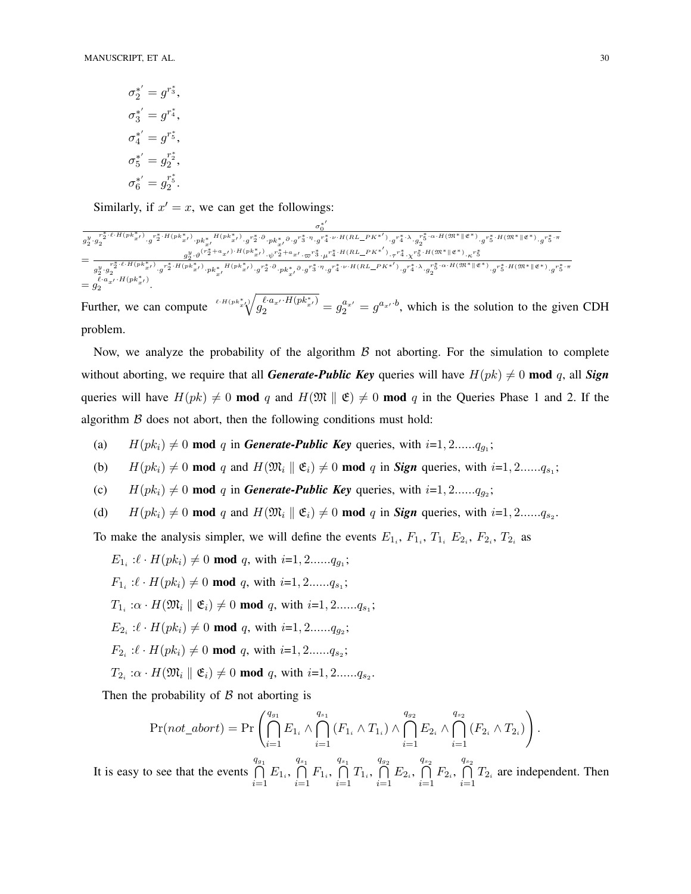$$
\sigma_2^{*'} = g^{r_3^*},
$$
  
\n
$$
\sigma_3^{*'} = g^{r_4^*},
$$
  
\n
$$
\sigma_4^{*'} = g^{r_5^*},
$$
  
\n
$$
\sigma_5^{*'} = g_2^{r_2^*},
$$
  
\n
$$
\sigma_6^{*'} = g_2^{r_5^*}.
$$

Similarly, if  $x' = x$ , we can get the followings:

σ ∗ 0 0 g y 2 ·g r∗ 2 ·`·H(pk∗ x0 ) 2 ·g r∗ 2 ·H(pk∗ x0 ) ·pk<sup>∗</sup> x0 H(pk∗ x0 ) ·g r∗ 2 ·∂ ·pk<sup>∗</sup> x0 ∂ ·g r∗ 3 ·η ·g r∗ 4 ·ν·H(RL PK∗0 ) ·g r∗ 4 ·λ·g r∗ 5 ·α·H(M∗kE∗) 2 ·g r∗ 5 ·H(M∗kE∗) ·g r∗ 5 ·π = g y 2 ·ϑ (r ∗ <sup>2</sup> <sup>+</sup>ax<sup>0</sup> )·H(pk<sup>∗</sup> x0 ) ·ψ r ∗ <sup>2</sup> <sup>+</sup>ax<sup>0</sup> ·\$<sup>r</sup> ∗ 3 ·µ r ∗ 4 ·H(RL PK∗ 0 ) ·τ r ∗ 4 ·χ r ∗ 5 ·H(M∗kE∗) ·κ r ∗ 5 g y 2 ·g r∗ 2 ·`·H(pk∗ x0 ) 2 ·g r∗ 2 ·H(pk∗ x0 ) ·pk<sup>∗</sup> x0 H(pk∗ x0 ) ·g r∗ 2 ·∂ ·pk<sup>∗</sup> x0 ∂ ·g r∗ 3 ·η ·g r∗ 4 ·ν·H(RL PK∗0 ) ·g r∗ 4 ·λ·g r∗ 5 ·α·H(M∗kE∗) 2 ·g r∗ 5 ·H(M∗kE∗) ·g r∗ 5 ·π = g `·ax<sup>0</sup> ·H(pk<sup>∗</sup> <sup>x</sup><sup>0</sup> ) 2 .

Further, we can compute  $\sqrt[\ell]{a_1^{\ell}a_{x'}^{\ell}b_{x'}^{\ell}b_{x'}^{\ell}} = g_2^{a_{x'}} = g_3^{a_{x'}}$ , which is the solution to the given CDH problem.

Now, we analyze the probability of the algorithm  $\beta$  not aborting. For the simulation to complete without aborting, we require that all *Generate-Public Key* queries will have  $H(pk) \neq 0$  mod q, all *Sign* queries will have  $H(pk) \neq 0$  mod q and  $H(\mathfrak{M} \parallel \mathfrak{E}) \neq 0$  mod q in the Queries Phase 1 and 2. If the algorithm  $\beta$  does not abort, then the following conditions must hold:

- (a)  $H(pk_i) \neq 0 \text{ mod } q$  in *Generate-Public Key* queries, with  $i=1, 2, \ldots, q_{g_1};$
- (b)  $H(pk_i) \neq 0 \text{ mod } q$  and  $H(\mathfrak{M}_i \parallel \mathfrak{E}_i) \neq 0 \text{ mod } q$  in *Sign* queries, with  $i=1, 2, \ldots, q_{s_1};$
- (c)  $H(pk_i) \neq 0 \text{ mod } q$  in *Generate-Public Key* queries, with  $i=1, 2, \ldots, q_{g_2}$ ;
- (d)  $H(pk_i) \neq 0 \text{ mod } q$  and  $H(\mathfrak{M}_i \parallel \mathfrak{E}_i) \neq 0 \text{ mod } q$  in *Sign* queries, with  $i=1, 2, ..., q_{s_2}$ .

To make the analysis simpler, we will define the events  $E_{1_i}$ ,  $F_{1_i}$ ,  $T_{1_i}$ ,  $E_{2_i}$ ,  $F_{2_i}$ ,  $T_{2_i}$  as

 $E_{1_i} : \ell \cdot H(pk_i) \neq 0 \text{ mod } q$ , with  $i=1, 2, ..., q_{g_1};$  $F_{1_i}$ : $\ell \cdot H(pk_i) \neq 0 \text{ mod } q$ , with  $i=1, 2......q_{s_1};$  $T_{1_i}$ : $\alpha \cdot H(\mathfrak{M}_i \parallel \mathfrak{E}_i) \neq 0$  mod q, with  $i=1, 2, \ldots, q_{s_1};$  $E_{2_i}$  : $\ell \cdot H(pk_i) \neq 0 \text{ mod } q$ , with  $i=1, 2......q_{g_2}$ ;  $F_{2_i}$ : $\ell \cdot H(pk_i) \neq 0 \text{ mod } q$ , with  $i=1, 2......q_{s_2}$ ;  $T_{2_i}$ : $\alpha \cdot H(\mathfrak{M}_i \parallel \mathfrak{E}_i) \neq 0$  mod q, with  $i=1, 2, \ldots, q_{s_2}$ .

Then the probability of  $\beta$  not aborting is

$$
\Pr(not\_abort) = \Pr\left(\bigcap_{i=1}^{q_{g_1}} E_{1_i} \wedge \bigcap_{i=1}^{q_{g_1}} (F_{1_i} \wedge T_{1_i}) \wedge \bigcap_{i=1}^{q_{g_2}} E_{2_i} \wedge \bigcap_{i=1}^{q_{g_2}} (F_{2_i} \wedge T_{2_i})\right).
$$

It is easy to see that the events  $q_{g_1}$  $\bigcap_{i=1} E_{1_i},$  $\bigcap_{s_1}$  $\bigcap_{i=1} F_{1_i},$  $q_{s_1}$  $\bigcap_{i=1} T_{1_i},$  $\bigcap_{\square}$  $\bigcap_{i=1} E_{2_i},$  $\bigcap^{q_{s_2}}$  $\bigcap_{i=1} F_{2_i},$  $\bigcap^{q_{s_2}}$  $\bigcap_{i=1} T_{2_i}$  are independent. Then